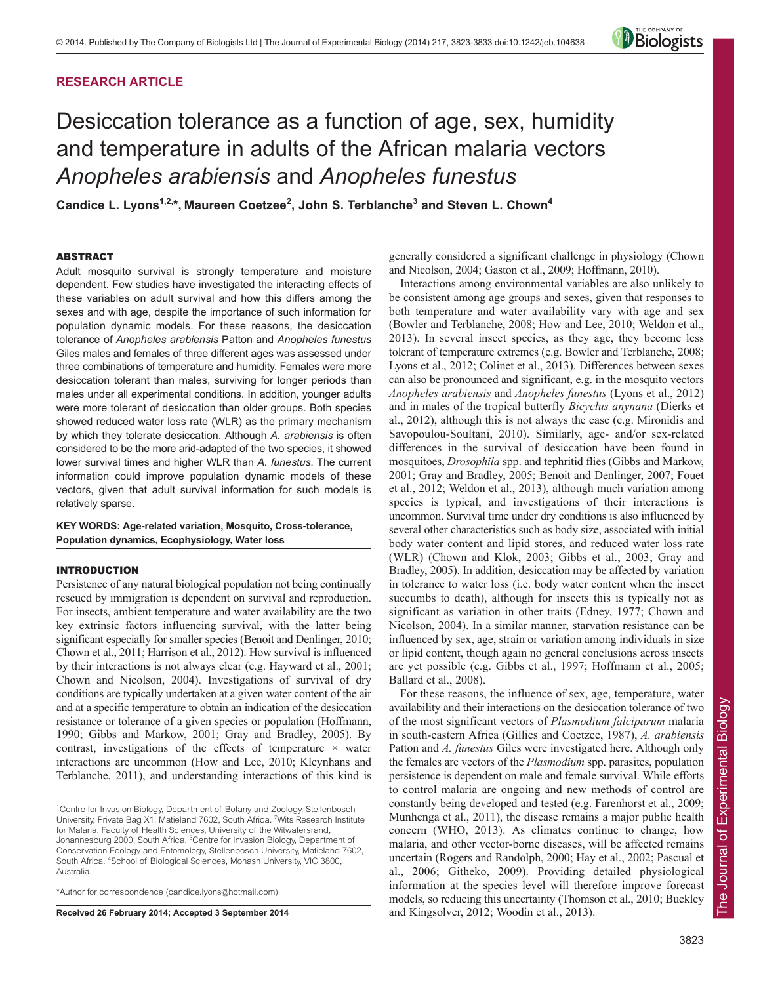# **RESEARCH ARTICLE**

# Desiccation tolerance as a function of age, sex, humidity and temperature in adults of the African malaria vectors *Anopheles arabiensis* and *Anopheles funestus*

Candice L. Lyons<sup>1,2,\*</sup>, Maureen Coetzee<sup>2</sup>, John S. Terblanche<sup>3</sup> and Steven L. Chown<sup>4</sup>

# ABSTRACT

Adult mosquito survival is strongly temperature and moisture dependent. Few studies have investigated the interacting effects of these variables on adult survival and how this differs among the sexes and with age, despite the importance of such information for population dynamic models. For these reasons, the desiccation tolerance of *Anopheles arabiensis* Patton and *Anopheles funestus* Giles males and females of three different ages was assessed under three combinations of temperature and humidity. Females were more desiccation tolerant than males, surviving for longer periods than males under all experimental conditions. In addition, younger adults were more tolerant of desiccation than older groups. Both species showed reduced water loss rate (WLR) as the primary mechanism by which they tolerate desiccation. Although *A. arabiensis* is often considered to be the more arid-adapted of the two species, it showed lower survival times and higher WLR than *A. funestus*. The current information could improve population dynamic models of these vectors, given that adult survival information for such models is relatively sparse.

# **KEY WORDS: Age-related variation, Mosquito, Cross-tolerance, Population dynamics, Ecophysiology, Water loss**

#### INTRODUCTION

Persistence of any natural biological population not being continually rescued by immigration is dependent on survival and reproduction. For insects, ambient temperature and water availability are the two key extrinsic factors influencing survival, with the latter being significant especially for smaller species (Benoit and Denlinger, 2010; Chown et al., 2011; Harrison et al., 2012). How survival is influenced by their interactions is not always clear (e.g. Hayward et al., 2001; Chown and Nicolson, 2004). Investigations of survival of dry conditions are typically undertaken at a given water content of the air and at a specific temperature to obtain an indication of the desiccation resistance or tolerance of a given species or population (Hoffmann, 1990; Gibbs and Markow, 2001; Gray and Bradley, 2005). By contrast, investigations of the effects of temperature  $\times$  water interactions are uncommon (How and Lee, 2010; Kleynhans and Terblanche, 2011), and understanding interactions of this kind is

\*Author for correspondence (candice.lyons@hotmail.com)

**Received 26 February 2014; Accepted 3 September 2014**

generally considered a significant challenge in physiology (Chown and Nicolson, 2004; Gaston et al., 2009; Hoffmann, 2010).

Interactions among environmental variables are also unlikely to be consistent among age groups and sexes, given that responses to both temperature and water availability vary with age and sex (Bowler and Terblanche, 2008; How and Lee, 2010; Weldon et al., 2013). In several insect species, as they age, they become less tolerant of temperature extremes (e.g. Bowler and Terblanche, 2008; Lyons et al., 2012; Colinet et al., 2013). Differences between sexes can also be pronounced and significant, e.g. in the mosquito vectors *Anopheles arabiensis* and *Anopheles funestus* (Lyons et al., 2012) and in males of the tropical butterfly *Bicyclus anynana* (Dierks et al., 2012), although this is not always the case (e.g. Mironidis and Savopoulou-Soultani, 2010). Similarly, age- and/or sex-related differences in the survival of desiccation have been found in mosquitoes, *Drosophila* spp. and tephritid flies (Gibbs and Markow, 2001; Gray and Bradley, 2005; Benoit and Denlinger, 2007; Fouet et al., 2012; Weldon et al., 2013), although much variation among species is typical, and investigations of their interactions is uncommon. Survival time under dry conditions is also influenced by several other characteristics such as body size, associated with initial body water content and lipid stores, and reduced water loss rate (WLR) (Chown and Klok, 2003; Gibbs et al., 2003; Gray and Bradley, 2005). In addition, desiccation may be affected by variation in tolerance to water loss (i.e. body water content when the insect succumbs to death), although for insects this is typically not as significant as variation in other traits (Edney, 1977; Chown and Nicolson, 2004). In a similar manner, starvation resistance can be influenced by sex, age, strain or variation among individuals in size or lipid content, though again no general conclusions across insects are yet possible (e.g. Gibbs et al., 1997; Hoffmann et al., 2005; Ballard et al., 2008).

For these reasons, the influence of sex, age, temperature, water availability and their interactions on the desiccation tolerance of two of the most significant vectors of *Plasmodium falciparum* malaria in south-eastern Africa (Gillies and Coetzee, 1987), *A. arabiensis* Patton and *A. funestus* Giles were investigated here. Although only the females are vectors of the *Plasmodium* spp. parasites, population persistence is dependent on male and female survival. While efforts to control malaria are ongoing and new methods of control are constantly being developed and tested (e.g. Farenhorst et al., 2009; Munhenga et al., 2011), the disease remains a major public health concern (WHO, 2013). As climates continue to change, how malaria, and other vector-borne diseases, will be affected remains uncertain (Rogers and Randolph, 2000; Hay et al., 2002; Pascual et al., 2006; Githeko, 2009). Providing detailed physiological information at the species level will therefore improve forecast models, so reducing this uncertainty (Thomson et al., 2010; Buckley and Kingsolver, 2012; Woodin et al., 2013).



<sup>&</sup>lt;sup>1</sup>Centre for Invasion Biology, Department of Botany and Zoology, Stellenbosch University, Private Bag X1, Matieland 7602, South Africa. <sup>2</sup>Wits Research Institute for Malaria, Faculty of Health Sciences, University of the Witwatersrand, Johannesburg 2000, South Africa. <sup>3</sup>Centre for Invasion Biology, Department of Conservation Ecology and Entomology, Stellenbosch University, Matieland 7602, South Africa. <sup>4</sup>School of Biological Sciences, Monash University, VIC 3800, Australia.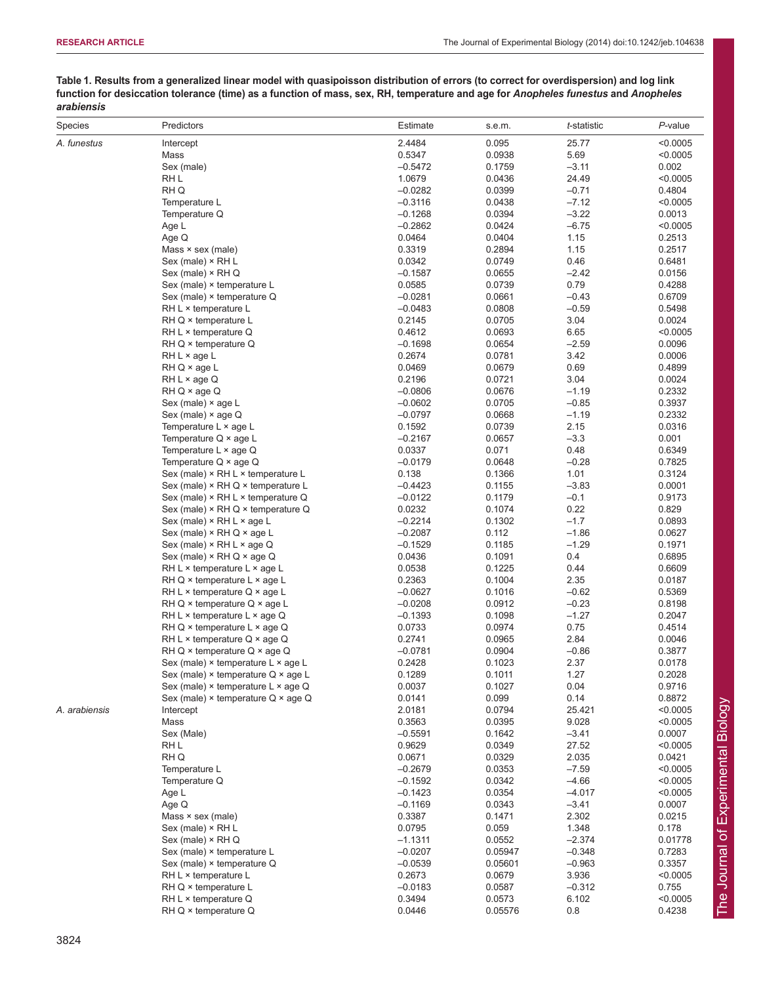# **Table 1. Results from a generalized linear model with quasipoisson distribution of errors (to correct for overdispersion) and log link function for desiccation tolerance (time) as a function of mass, sex, RH, temperature and age for** *Anopheles funestus* **and** *Anopheles arabiensis*

| A. funestus<br>2.4484<br>0.095<br>25.77<br>Intercept<br>< 0.0005<br>5.69<br>Mass<br>0.5347<br>0.0938<br>< 0.0005<br>$-0.5472$<br>0.1759<br>$-3.11$<br>0.002<br>Sex (male)<br>RH L<br>1.0679<br>24.49<br>< 0.0005<br>0.0436<br>RH Q<br>$-0.0282$<br>0.0399<br>$-0.71$<br>0.4804<br>Temperature L<br>$-0.3116$<br>0.0438<br>$-7.12$<br>< 0.0005<br>$-3.22$<br>Temperature Q<br>$-0.1268$<br>0.0394<br>0.0013<br>$-6.75$<br>Age L<br>$-0.2862$<br>0.0424<br>< 0.0005<br>0.0464<br>0.0404<br>1.15<br>0.2513<br>Age Q<br>1.15<br>Mass $\times$ sex (male)<br>0.3319<br>0.2894<br>0.2517<br>Sex (male) × RH L<br>0.0342<br>0.0749<br>0.46<br>0.6481<br>$-0.1587$<br>0.0655<br>$-2.42$<br>0.0156<br>Sex (male) $\times$ RH Q<br>0.79<br>0.0585<br>0.0739<br>0.4288<br>Sex (male) × temperature L<br>$-0.0281$<br>0.0661<br>$-0.43$<br>0.6709<br>Sex (male) × temperature Q<br>$-0.59$<br>$-0.0483$<br>0.0808<br>0.5498<br>RH L × temperature L<br>0.2145<br>0.0705<br>3.04<br>0.0024<br>$RH Q \times$ temperature L<br>6.65<br>0.4612<br>0.0693<br>< 0.0005<br>$RH L \times$ temperature Q<br>$-0.1698$<br>0.0654<br>$-2.59$<br>0.0096<br>$RH Q \times$ temperature Q<br>3.42<br>0.2674<br>0.0781<br>0.0006<br>$RHL \times age$ L<br>0.0469<br>0.0679<br>0.69<br>0.4899<br>$RH Q \times age L$<br>3.04<br>0.2196<br>0.0721<br>0.0024<br>$RH L \times age Q$<br>$RH Q \times age Q$<br>$-0.0806$<br>0.0676<br>$-1.19$<br>0.2332<br>0.0705<br>$-0.85$<br>0.3937<br>Sex (male) $\times$ age L<br>$-0.0602$<br>Sex (male) $\times$ age Q<br>$-0.0797$<br>0.0668<br>$-1.19$<br>0.2332<br>2.15<br>0.0739<br>0.0316<br>Temperature $L \times age L$<br>0.1592<br>$-3.3$<br>Temperature Q × age L<br>$-0.2167$<br>0.0657<br>0.001<br>0.48<br>Temperature $L \times age Q$<br>0.0337<br>0.071<br>0.6349<br>Temperature $Q \times age Q$<br>0.0648<br>$-0.28$<br>0.7825<br>$-0.0179$<br>1.01<br>Sex (male) × RH L × temperature L<br>0.138<br>0.1366<br>0.3124<br>$-3.83$<br>Sex (male) × RH Q × temperature L<br>0.1155<br>0.0001<br>$-0.4423$<br>$-0.1$<br>$-0.0122$<br>0.1179<br>0.9173<br>Sex (male) $\times$ RH L $\times$ temperature Q<br>0.22<br>0.0232<br>0.1074<br>0.829<br>Sex (male) $\times$ RH Q $\times$ temperature Q<br>$-1.7$<br>$-0.2214$<br>0.1302<br>0.0893<br>Sex (male) $\times$ RH L $\times$ age L<br>$-0.2087$<br>0.112<br>$-1.86$<br>0.0627<br>Sex (male) $\times$ RH Q $\times$ age L<br>$-0.1529$<br>0.1185<br>$-1.29$<br>0.1971<br>Sex (male) $\times$ RH L $\times$ age Q<br>0.4<br>0.6895<br>Sex (male) $\times$ RH Q $\times$ age Q<br>0.0436<br>0.1091<br>0.0538<br>0.1225<br>0.44<br>0.6609<br>RH L $\times$ temperature L $\times$ age L<br>0.2363<br>0.1004<br>2.35<br>0.0187<br>$RH Q \times$ temperature $L \times age L$<br>$-0.0627$<br>0.1016<br>$-0.62$<br>0.5369<br>RH L $\times$ temperature Q $\times$ age L<br>$-0.23$<br>$RH Q \times$ temperature $Q \times age L$<br>$-0.0208$<br>0.0912<br>0.8198<br>$-0.1393$<br>0.1098<br>$-1.27$<br>0.2047<br>RH L $\times$ temperature L $\times$ age Q<br>0.75<br>RH Q $\times$ temperature L $\times$ age Q<br>0.0733<br>0.0974<br>0.4514<br>0.2741<br>0.0965<br>2.84<br>0.0046<br>RH L $\times$ temperature Q $\times$ age Q<br>RH Q $\times$ temperature Q $\times$ age Q<br>$-0.0781$<br>0.0904<br>$-0.86$<br>0.3877<br>Sex (male) × temperature L × age L<br>0.2428<br>0.1023<br>2.37<br>0.0178<br>0.1289<br>1.27<br>Sex (male) × temperature Q × age L<br>0.1011<br>0.2028<br>Sex (male) $\times$ temperature L $\times$ age Q<br>0.0037<br>0.9716<br>0.1027<br>0.04<br>0.099<br>0.14<br>0.8872<br>Sex (male) × temperature Q × age Q<br>0.0141<br>A. arabiensis<br>2.0181<br>0.0794<br>25.421<br>< 0.0005<br>Intercept<br>Mass<br>0.3563<br>0.0395<br>9.028<br>< 0.0005<br>Sex (Male)<br>$-0.5591$<br>0.1642<br>$-3.41$<br>0.0007<br>RH L<br>0.9629<br>0.0349<br>27.52<br>< 0.0005<br>RH Q<br>0.0671<br>0.0329<br>2.035<br>0.0421<br>$-0.2679$<br>0.0353<br>$-7.59$<br>< 0.0005<br>Temperature L<br>Temperature Q<br>$-0.1592$<br>0.0342<br>$-4.66$<br>< 0.0005<br>$-0.1423$<br>0.0354<br>$-4.017$<br>< 0.0005<br>Age L<br>Age Q<br>$-0.1169$<br>0.0343<br>$-3.41$<br>0.0007<br>2.302<br>0.3387<br>0.1471<br>0.0215<br>Mass $\times$ sex (male)<br>Sex (male) × RH L<br>0.0795<br>0.059<br>1.348<br>0.178<br>$-2.374$<br>Sex (male) $\times$ RH Q<br>$-1.1311$<br>0.0552<br>0.01778<br>$-0.0207$<br>$-0.348$<br>0.7283<br>Sex (male) × temperature L<br>0.05947<br>Sex (male) × temperature Q<br>$-0.0539$<br>0.05601<br>$-0.963$<br>0.3357<br>3.936<br>RH L × temperature L<br>0.2673<br>0.0679<br>< 0.0005<br>$-0.312$<br>$RH Q \times$ temperature L<br>$-0.0183$<br>0.0587<br>0.755<br>0.3494<br>0.0573<br>6.102<br>< 0.0005<br>$RH L \times$ temperature Q<br>0.0446<br>$RH Q \times temperature Q$<br>0.05576<br>0.8<br>0.4238 | Species | Predictors | Estimate | s.e.m. | t-statistic | P-value |
|--------------------------------------------------------------------------------------------------------------------------------------------------------------------------------------------------------------------------------------------------------------------------------------------------------------------------------------------------------------------------------------------------------------------------------------------------------------------------------------------------------------------------------------------------------------------------------------------------------------------------------------------------------------------------------------------------------------------------------------------------------------------------------------------------------------------------------------------------------------------------------------------------------------------------------------------------------------------------------------------------------------------------------------------------------------------------------------------------------------------------------------------------------------------------------------------------------------------------------------------------------------------------------------------------------------------------------------------------------------------------------------------------------------------------------------------------------------------------------------------------------------------------------------------------------------------------------------------------------------------------------------------------------------------------------------------------------------------------------------------------------------------------------------------------------------------------------------------------------------------------------------------------------------------------------------------------------------------------------------------------------------------------------------------------------------------------------------------------------------------------------------------------------------------------------------------------------------------------------------------------------------------------------------------------------------------------------------------------------------------------------------------------------------------------------------------------------------------------------------------------------------------------------------------------------------------------------------------------------------------------------------------------------------------------------------------------------------------------------------------------------------------------------------------------------------------------------------------------------------------------------------------------------------------------------------------------------------------------------------------------------------------------------------------------------------------------------------------------------------------------------------------------------------------------------------------------------------------------------------------------------------------------------------------------------------------------------------------------------------------------------------------------------------------------------------------------------------------------------------------------------------------------------------------------------------------------------------------------------------------------------------------------------------------------------------------------------------------------------------------------------------------------------------------------------------------------------------------------------------------------------------------------------------------------------------------------------------------------------------------------------------------------------------------------------------------------------------------------------------------------------------------------------------------------------------------------------------------------------------------------------------------------------------------------------------------------------------------------------------------------------------------------------------------------------------------------------------------------------------------------------------------------------------------------------------------------------------------------------------------------------------------------------------------------------------------------------------------------------------------------------------------------------------------------------------------|---------|------------|----------|--------|-------------|---------|
|                                                                                                                                                                                                                                                                                                                                                                                                                                                                                                                                                                                                                                                                                                                                                                                                                                                                                                                                                                                                                                                                                                                                                                                                                                                                                                                                                                                                                                                                                                                                                                                                                                                                                                                                                                                                                                                                                                                                                                                                                                                                                                                                                                                                                                                                                                                                                                                                                                                                                                                                                                                                                                                                                                                                                                                                                                                                                                                                                                                                                                                                                                                                                                                                                                                                                                                                                                                                                                                                                                                                                                                                                                                                                                                                                                                                                                                                                                                                                                                                                                                                                                                                                                                                                                                                                                                                                                                                                                                                                                                                                                                                                                                                                                                                                                                                                    |         |            |          |        |             |         |
|                                                                                                                                                                                                                                                                                                                                                                                                                                                                                                                                                                                                                                                                                                                                                                                                                                                                                                                                                                                                                                                                                                                                                                                                                                                                                                                                                                                                                                                                                                                                                                                                                                                                                                                                                                                                                                                                                                                                                                                                                                                                                                                                                                                                                                                                                                                                                                                                                                                                                                                                                                                                                                                                                                                                                                                                                                                                                                                                                                                                                                                                                                                                                                                                                                                                                                                                                                                                                                                                                                                                                                                                                                                                                                                                                                                                                                                                                                                                                                                                                                                                                                                                                                                                                                                                                                                                                                                                                                                                                                                                                                                                                                                                                                                                                                                                                    |         |            |          |        |             |         |
|                                                                                                                                                                                                                                                                                                                                                                                                                                                                                                                                                                                                                                                                                                                                                                                                                                                                                                                                                                                                                                                                                                                                                                                                                                                                                                                                                                                                                                                                                                                                                                                                                                                                                                                                                                                                                                                                                                                                                                                                                                                                                                                                                                                                                                                                                                                                                                                                                                                                                                                                                                                                                                                                                                                                                                                                                                                                                                                                                                                                                                                                                                                                                                                                                                                                                                                                                                                                                                                                                                                                                                                                                                                                                                                                                                                                                                                                                                                                                                                                                                                                                                                                                                                                                                                                                                                                                                                                                                                                                                                                                                                                                                                                                                                                                                                                                    |         |            |          |        |             |         |
|                                                                                                                                                                                                                                                                                                                                                                                                                                                                                                                                                                                                                                                                                                                                                                                                                                                                                                                                                                                                                                                                                                                                                                                                                                                                                                                                                                                                                                                                                                                                                                                                                                                                                                                                                                                                                                                                                                                                                                                                                                                                                                                                                                                                                                                                                                                                                                                                                                                                                                                                                                                                                                                                                                                                                                                                                                                                                                                                                                                                                                                                                                                                                                                                                                                                                                                                                                                                                                                                                                                                                                                                                                                                                                                                                                                                                                                                                                                                                                                                                                                                                                                                                                                                                                                                                                                                                                                                                                                                                                                                                                                                                                                                                                                                                                                                                    |         |            |          |        |             |         |
|                                                                                                                                                                                                                                                                                                                                                                                                                                                                                                                                                                                                                                                                                                                                                                                                                                                                                                                                                                                                                                                                                                                                                                                                                                                                                                                                                                                                                                                                                                                                                                                                                                                                                                                                                                                                                                                                                                                                                                                                                                                                                                                                                                                                                                                                                                                                                                                                                                                                                                                                                                                                                                                                                                                                                                                                                                                                                                                                                                                                                                                                                                                                                                                                                                                                                                                                                                                                                                                                                                                                                                                                                                                                                                                                                                                                                                                                                                                                                                                                                                                                                                                                                                                                                                                                                                                                                                                                                                                                                                                                                                                                                                                                                                                                                                                                                    |         |            |          |        |             |         |
|                                                                                                                                                                                                                                                                                                                                                                                                                                                                                                                                                                                                                                                                                                                                                                                                                                                                                                                                                                                                                                                                                                                                                                                                                                                                                                                                                                                                                                                                                                                                                                                                                                                                                                                                                                                                                                                                                                                                                                                                                                                                                                                                                                                                                                                                                                                                                                                                                                                                                                                                                                                                                                                                                                                                                                                                                                                                                                                                                                                                                                                                                                                                                                                                                                                                                                                                                                                                                                                                                                                                                                                                                                                                                                                                                                                                                                                                                                                                                                                                                                                                                                                                                                                                                                                                                                                                                                                                                                                                                                                                                                                                                                                                                                                                                                                                                    |         |            |          |        |             |         |
|                                                                                                                                                                                                                                                                                                                                                                                                                                                                                                                                                                                                                                                                                                                                                                                                                                                                                                                                                                                                                                                                                                                                                                                                                                                                                                                                                                                                                                                                                                                                                                                                                                                                                                                                                                                                                                                                                                                                                                                                                                                                                                                                                                                                                                                                                                                                                                                                                                                                                                                                                                                                                                                                                                                                                                                                                                                                                                                                                                                                                                                                                                                                                                                                                                                                                                                                                                                                                                                                                                                                                                                                                                                                                                                                                                                                                                                                                                                                                                                                                                                                                                                                                                                                                                                                                                                                                                                                                                                                                                                                                                                                                                                                                                                                                                                                                    |         |            |          |        |             |         |
|                                                                                                                                                                                                                                                                                                                                                                                                                                                                                                                                                                                                                                                                                                                                                                                                                                                                                                                                                                                                                                                                                                                                                                                                                                                                                                                                                                                                                                                                                                                                                                                                                                                                                                                                                                                                                                                                                                                                                                                                                                                                                                                                                                                                                                                                                                                                                                                                                                                                                                                                                                                                                                                                                                                                                                                                                                                                                                                                                                                                                                                                                                                                                                                                                                                                                                                                                                                                                                                                                                                                                                                                                                                                                                                                                                                                                                                                                                                                                                                                                                                                                                                                                                                                                                                                                                                                                                                                                                                                                                                                                                                                                                                                                                                                                                                                                    |         |            |          |        |             |         |
|                                                                                                                                                                                                                                                                                                                                                                                                                                                                                                                                                                                                                                                                                                                                                                                                                                                                                                                                                                                                                                                                                                                                                                                                                                                                                                                                                                                                                                                                                                                                                                                                                                                                                                                                                                                                                                                                                                                                                                                                                                                                                                                                                                                                                                                                                                                                                                                                                                                                                                                                                                                                                                                                                                                                                                                                                                                                                                                                                                                                                                                                                                                                                                                                                                                                                                                                                                                                                                                                                                                                                                                                                                                                                                                                                                                                                                                                                                                                                                                                                                                                                                                                                                                                                                                                                                                                                                                                                                                                                                                                                                                                                                                                                                                                                                                                                    |         |            |          |        |             |         |
|                                                                                                                                                                                                                                                                                                                                                                                                                                                                                                                                                                                                                                                                                                                                                                                                                                                                                                                                                                                                                                                                                                                                                                                                                                                                                                                                                                                                                                                                                                                                                                                                                                                                                                                                                                                                                                                                                                                                                                                                                                                                                                                                                                                                                                                                                                                                                                                                                                                                                                                                                                                                                                                                                                                                                                                                                                                                                                                                                                                                                                                                                                                                                                                                                                                                                                                                                                                                                                                                                                                                                                                                                                                                                                                                                                                                                                                                                                                                                                                                                                                                                                                                                                                                                                                                                                                                                                                                                                                                                                                                                                                                                                                                                                                                                                                                                    |         |            |          |        |             |         |
|                                                                                                                                                                                                                                                                                                                                                                                                                                                                                                                                                                                                                                                                                                                                                                                                                                                                                                                                                                                                                                                                                                                                                                                                                                                                                                                                                                                                                                                                                                                                                                                                                                                                                                                                                                                                                                                                                                                                                                                                                                                                                                                                                                                                                                                                                                                                                                                                                                                                                                                                                                                                                                                                                                                                                                                                                                                                                                                                                                                                                                                                                                                                                                                                                                                                                                                                                                                                                                                                                                                                                                                                                                                                                                                                                                                                                                                                                                                                                                                                                                                                                                                                                                                                                                                                                                                                                                                                                                                                                                                                                                                                                                                                                                                                                                                                                    |         |            |          |        |             |         |
|                                                                                                                                                                                                                                                                                                                                                                                                                                                                                                                                                                                                                                                                                                                                                                                                                                                                                                                                                                                                                                                                                                                                                                                                                                                                                                                                                                                                                                                                                                                                                                                                                                                                                                                                                                                                                                                                                                                                                                                                                                                                                                                                                                                                                                                                                                                                                                                                                                                                                                                                                                                                                                                                                                                                                                                                                                                                                                                                                                                                                                                                                                                                                                                                                                                                                                                                                                                                                                                                                                                                                                                                                                                                                                                                                                                                                                                                                                                                                                                                                                                                                                                                                                                                                                                                                                                                                                                                                                                                                                                                                                                                                                                                                                                                                                                                                    |         |            |          |        |             |         |
|                                                                                                                                                                                                                                                                                                                                                                                                                                                                                                                                                                                                                                                                                                                                                                                                                                                                                                                                                                                                                                                                                                                                                                                                                                                                                                                                                                                                                                                                                                                                                                                                                                                                                                                                                                                                                                                                                                                                                                                                                                                                                                                                                                                                                                                                                                                                                                                                                                                                                                                                                                                                                                                                                                                                                                                                                                                                                                                                                                                                                                                                                                                                                                                                                                                                                                                                                                                                                                                                                                                                                                                                                                                                                                                                                                                                                                                                                                                                                                                                                                                                                                                                                                                                                                                                                                                                                                                                                                                                                                                                                                                                                                                                                                                                                                                                                    |         |            |          |        |             |         |
|                                                                                                                                                                                                                                                                                                                                                                                                                                                                                                                                                                                                                                                                                                                                                                                                                                                                                                                                                                                                                                                                                                                                                                                                                                                                                                                                                                                                                                                                                                                                                                                                                                                                                                                                                                                                                                                                                                                                                                                                                                                                                                                                                                                                                                                                                                                                                                                                                                                                                                                                                                                                                                                                                                                                                                                                                                                                                                                                                                                                                                                                                                                                                                                                                                                                                                                                                                                                                                                                                                                                                                                                                                                                                                                                                                                                                                                                                                                                                                                                                                                                                                                                                                                                                                                                                                                                                                                                                                                                                                                                                                                                                                                                                                                                                                                                                    |         |            |          |        |             |         |
|                                                                                                                                                                                                                                                                                                                                                                                                                                                                                                                                                                                                                                                                                                                                                                                                                                                                                                                                                                                                                                                                                                                                                                                                                                                                                                                                                                                                                                                                                                                                                                                                                                                                                                                                                                                                                                                                                                                                                                                                                                                                                                                                                                                                                                                                                                                                                                                                                                                                                                                                                                                                                                                                                                                                                                                                                                                                                                                                                                                                                                                                                                                                                                                                                                                                                                                                                                                                                                                                                                                                                                                                                                                                                                                                                                                                                                                                                                                                                                                                                                                                                                                                                                                                                                                                                                                                                                                                                                                                                                                                                                                                                                                                                                                                                                                                                    |         |            |          |        |             |         |
|                                                                                                                                                                                                                                                                                                                                                                                                                                                                                                                                                                                                                                                                                                                                                                                                                                                                                                                                                                                                                                                                                                                                                                                                                                                                                                                                                                                                                                                                                                                                                                                                                                                                                                                                                                                                                                                                                                                                                                                                                                                                                                                                                                                                                                                                                                                                                                                                                                                                                                                                                                                                                                                                                                                                                                                                                                                                                                                                                                                                                                                                                                                                                                                                                                                                                                                                                                                                                                                                                                                                                                                                                                                                                                                                                                                                                                                                                                                                                                                                                                                                                                                                                                                                                                                                                                                                                                                                                                                                                                                                                                                                                                                                                                                                                                                                                    |         |            |          |        |             |         |
|                                                                                                                                                                                                                                                                                                                                                                                                                                                                                                                                                                                                                                                                                                                                                                                                                                                                                                                                                                                                                                                                                                                                                                                                                                                                                                                                                                                                                                                                                                                                                                                                                                                                                                                                                                                                                                                                                                                                                                                                                                                                                                                                                                                                                                                                                                                                                                                                                                                                                                                                                                                                                                                                                                                                                                                                                                                                                                                                                                                                                                                                                                                                                                                                                                                                                                                                                                                                                                                                                                                                                                                                                                                                                                                                                                                                                                                                                                                                                                                                                                                                                                                                                                                                                                                                                                                                                                                                                                                                                                                                                                                                                                                                                                                                                                                                                    |         |            |          |        |             |         |
|                                                                                                                                                                                                                                                                                                                                                                                                                                                                                                                                                                                                                                                                                                                                                                                                                                                                                                                                                                                                                                                                                                                                                                                                                                                                                                                                                                                                                                                                                                                                                                                                                                                                                                                                                                                                                                                                                                                                                                                                                                                                                                                                                                                                                                                                                                                                                                                                                                                                                                                                                                                                                                                                                                                                                                                                                                                                                                                                                                                                                                                                                                                                                                                                                                                                                                                                                                                                                                                                                                                                                                                                                                                                                                                                                                                                                                                                                                                                                                                                                                                                                                                                                                                                                                                                                                                                                                                                                                                                                                                                                                                                                                                                                                                                                                                                                    |         |            |          |        |             |         |
|                                                                                                                                                                                                                                                                                                                                                                                                                                                                                                                                                                                                                                                                                                                                                                                                                                                                                                                                                                                                                                                                                                                                                                                                                                                                                                                                                                                                                                                                                                                                                                                                                                                                                                                                                                                                                                                                                                                                                                                                                                                                                                                                                                                                                                                                                                                                                                                                                                                                                                                                                                                                                                                                                                                                                                                                                                                                                                                                                                                                                                                                                                                                                                                                                                                                                                                                                                                                                                                                                                                                                                                                                                                                                                                                                                                                                                                                                                                                                                                                                                                                                                                                                                                                                                                                                                                                                                                                                                                                                                                                                                                                                                                                                                                                                                                                                    |         |            |          |        |             |         |
|                                                                                                                                                                                                                                                                                                                                                                                                                                                                                                                                                                                                                                                                                                                                                                                                                                                                                                                                                                                                                                                                                                                                                                                                                                                                                                                                                                                                                                                                                                                                                                                                                                                                                                                                                                                                                                                                                                                                                                                                                                                                                                                                                                                                                                                                                                                                                                                                                                                                                                                                                                                                                                                                                                                                                                                                                                                                                                                                                                                                                                                                                                                                                                                                                                                                                                                                                                                                                                                                                                                                                                                                                                                                                                                                                                                                                                                                                                                                                                                                                                                                                                                                                                                                                                                                                                                                                                                                                                                                                                                                                                                                                                                                                                                                                                                                                    |         |            |          |        |             |         |
|                                                                                                                                                                                                                                                                                                                                                                                                                                                                                                                                                                                                                                                                                                                                                                                                                                                                                                                                                                                                                                                                                                                                                                                                                                                                                                                                                                                                                                                                                                                                                                                                                                                                                                                                                                                                                                                                                                                                                                                                                                                                                                                                                                                                                                                                                                                                                                                                                                                                                                                                                                                                                                                                                                                                                                                                                                                                                                                                                                                                                                                                                                                                                                                                                                                                                                                                                                                                                                                                                                                                                                                                                                                                                                                                                                                                                                                                                                                                                                                                                                                                                                                                                                                                                                                                                                                                                                                                                                                                                                                                                                                                                                                                                                                                                                                                                    |         |            |          |        |             |         |
|                                                                                                                                                                                                                                                                                                                                                                                                                                                                                                                                                                                                                                                                                                                                                                                                                                                                                                                                                                                                                                                                                                                                                                                                                                                                                                                                                                                                                                                                                                                                                                                                                                                                                                                                                                                                                                                                                                                                                                                                                                                                                                                                                                                                                                                                                                                                                                                                                                                                                                                                                                                                                                                                                                                                                                                                                                                                                                                                                                                                                                                                                                                                                                                                                                                                                                                                                                                                                                                                                                                                                                                                                                                                                                                                                                                                                                                                                                                                                                                                                                                                                                                                                                                                                                                                                                                                                                                                                                                                                                                                                                                                                                                                                                                                                                                                                    |         |            |          |        |             |         |
|                                                                                                                                                                                                                                                                                                                                                                                                                                                                                                                                                                                                                                                                                                                                                                                                                                                                                                                                                                                                                                                                                                                                                                                                                                                                                                                                                                                                                                                                                                                                                                                                                                                                                                                                                                                                                                                                                                                                                                                                                                                                                                                                                                                                                                                                                                                                                                                                                                                                                                                                                                                                                                                                                                                                                                                                                                                                                                                                                                                                                                                                                                                                                                                                                                                                                                                                                                                                                                                                                                                                                                                                                                                                                                                                                                                                                                                                                                                                                                                                                                                                                                                                                                                                                                                                                                                                                                                                                                                                                                                                                                                                                                                                                                                                                                                                                    |         |            |          |        |             |         |
|                                                                                                                                                                                                                                                                                                                                                                                                                                                                                                                                                                                                                                                                                                                                                                                                                                                                                                                                                                                                                                                                                                                                                                                                                                                                                                                                                                                                                                                                                                                                                                                                                                                                                                                                                                                                                                                                                                                                                                                                                                                                                                                                                                                                                                                                                                                                                                                                                                                                                                                                                                                                                                                                                                                                                                                                                                                                                                                                                                                                                                                                                                                                                                                                                                                                                                                                                                                                                                                                                                                                                                                                                                                                                                                                                                                                                                                                                                                                                                                                                                                                                                                                                                                                                                                                                                                                                                                                                                                                                                                                                                                                                                                                                                                                                                                                                    |         |            |          |        |             |         |
|                                                                                                                                                                                                                                                                                                                                                                                                                                                                                                                                                                                                                                                                                                                                                                                                                                                                                                                                                                                                                                                                                                                                                                                                                                                                                                                                                                                                                                                                                                                                                                                                                                                                                                                                                                                                                                                                                                                                                                                                                                                                                                                                                                                                                                                                                                                                                                                                                                                                                                                                                                                                                                                                                                                                                                                                                                                                                                                                                                                                                                                                                                                                                                                                                                                                                                                                                                                                                                                                                                                                                                                                                                                                                                                                                                                                                                                                                                                                                                                                                                                                                                                                                                                                                                                                                                                                                                                                                                                                                                                                                                                                                                                                                                                                                                                                                    |         |            |          |        |             |         |
|                                                                                                                                                                                                                                                                                                                                                                                                                                                                                                                                                                                                                                                                                                                                                                                                                                                                                                                                                                                                                                                                                                                                                                                                                                                                                                                                                                                                                                                                                                                                                                                                                                                                                                                                                                                                                                                                                                                                                                                                                                                                                                                                                                                                                                                                                                                                                                                                                                                                                                                                                                                                                                                                                                                                                                                                                                                                                                                                                                                                                                                                                                                                                                                                                                                                                                                                                                                                                                                                                                                                                                                                                                                                                                                                                                                                                                                                                                                                                                                                                                                                                                                                                                                                                                                                                                                                                                                                                                                                                                                                                                                                                                                                                                                                                                                                                    |         |            |          |        |             |         |
|                                                                                                                                                                                                                                                                                                                                                                                                                                                                                                                                                                                                                                                                                                                                                                                                                                                                                                                                                                                                                                                                                                                                                                                                                                                                                                                                                                                                                                                                                                                                                                                                                                                                                                                                                                                                                                                                                                                                                                                                                                                                                                                                                                                                                                                                                                                                                                                                                                                                                                                                                                                                                                                                                                                                                                                                                                                                                                                                                                                                                                                                                                                                                                                                                                                                                                                                                                                                                                                                                                                                                                                                                                                                                                                                                                                                                                                                                                                                                                                                                                                                                                                                                                                                                                                                                                                                                                                                                                                                                                                                                                                                                                                                                                                                                                                                                    |         |            |          |        |             |         |
|                                                                                                                                                                                                                                                                                                                                                                                                                                                                                                                                                                                                                                                                                                                                                                                                                                                                                                                                                                                                                                                                                                                                                                                                                                                                                                                                                                                                                                                                                                                                                                                                                                                                                                                                                                                                                                                                                                                                                                                                                                                                                                                                                                                                                                                                                                                                                                                                                                                                                                                                                                                                                                                                                                                                                                                                                                                                                                                                                                                                                                                                                                                                                                                                                                                                                                                                                                                                                                                                                                                                                                                                                                                                                                                                                                                                                                                                                                                                                                                                                                                                                                                                                                                                                                                                                                                                                                                                                                                                                                                                                                                                                                                                                                                                                                                                                    |         |            |          |        |             |         |
|                                                                                                                                                                                                                                                                                                                                                                                                                                                                                                                                                                                                                                                                                                                                                                                                                                                                                                                                                                                                                                                                                                                                                                                                                                                                                                                                                                                                                                                                                                                                                                                                                                                                                                                                                                                                                                                                                                                                                                                                                                                                                                                                                                                                                                                                                                                                                                                                                                                                                                                                                                                                                                                                                                                                                                                                                                                                                                                                                                                                                                                                                                                                                                                                                                                                                                                                                                                                                                                                                                                                                                                                                                                                                                                                                                                                                                                                                                                                                                                                                                                                                                                                                                                                                                                                                                                                                                                                                                                                                                                                                                                                                                                                                                                                                                                                                    |         |            |          |        |             |         |
|                                                                                                                                                                                                                                                                                                                                                                                                                                                                                                                                                                                                                                                                                                                                                                                                                                                                                                                                                                                                                                                                                                                                                                                                                                                                                                                                                                                                                                                                                                                                                                                                                                                                                                                                                                                                                                                                                                                                                                                                                                                                                                                                                                                                                                                                                                                                                                                                                                                                                                                                                                                                                                                                                                                                                                                                                                                                                                                                                                                                                                                                                                                                                                                                                                                                                                                                                                                                                                                                                                                                                                                                                                                                                                                                                                                                                                                                                                                                                                                                                                                                                                                                                                                                                                                                                                                                                                                                                                                                                                                                                                                                                                                                                                                                                                                                                    |         |            |          |        |             |         |
|                                                                                                                                                                                                                                                                                                                                                                                                                                                                                                                                                                                                                                                                                                                                                                                                                                                                                                                                                                                                                                                                                                                                                                                                                                                                                                                                                                                                                                                                                                                                                                                                                                                                                                                                                                                                                                                                                                                                                                                                                                                                                                                                                                                                                                                                                                                                                                                                                                                                                                                                                                                                                                                                                                                                                                                                                                                                                                                                                                                                                                                                                                                                                                                                                                                                                                                                                                                                                                                                                                                                                                                                                                                                                                                                                                                                                                                                                                                                                                                                                                                                                                                                                                                                                                                                                                                                                                                                                                                                                                                                                                                                                                                                                                                                                                                                                    |         |            |          |        |             |         |
|                                                                                                                                                                                                                                                                                                                                                                                                                                                                                                                                                                                                                                                                                                                                                                                                                                                                                                                                                                                                                                                                                                                                                                                                                                                                                                                                                                                                                                                                                                                                                                                                                                                                                                                                                                                                                                                                                                                                                                                                                                                                                                                                                                                                                                                                                                                                                                                                                                                                                                                                                                                                                                                                                                                                                                                                                                                                                                                                                                                                                                                                                                                                                                                                                                                                                                                                                                                                                                                                                                                                                                                                                                                                                                                                                                                                                                                                                                                                                                                                                                                                                                                                                                                                                                                                                                                                                                                                                                                                                                                                                                                                                                                                                                                                                                                                                    |         |            |          |        |             |         |
|                                                                                                                                                                                                                                                                                                                                                                                                                                                                                                                                                                                                                                                                                                                                                                                                                                                                                                                                                                                                                                                                                                                                                                                                                                                                                                                                                                                                                                                                                                                                                                                                                                                                                                                                                                                                                                                                                                                                                                                                                                                                                                                                                                                                                                                                                                                                                                                                                                                                                                                                                                                                                                                                                                                                                                                                                                                                                                                                                                                                                                                                                                                                                                                                                                                                                                                                                                                                                                                                                                                                                                                                                                                                                                                                                                                                                                                                                                                                                                                                                                                                                                                                                                                                                                                                                                                                                                                                                                                                                                                                                                                                                                                                                                                                                                                                                    |         |            |          |        |             |         |
|                                                                                                                                                                                                                                                                                                                                                                                                                                                                                                                                                                                                                                                                                                                                                                                                                                                                                                                                                                                                                                                                                                                                                                                                                                                                                                                                                                                                                                                                                                                                                                                                                                                                                                                                                                                                                                                                                                                                                                                                                                                                                                                                                                                                                                                                                                                                                                                                                                                                                                                                                                                                                                                                                                                                                                                                                                                                                                                                                                                                                                                                                                                                                                                                                                                                                                                                                                                                                                                                                                                                                                                                                                                                                                                                                                                                                                                                                                                                                                                                                                                                                                                                                                                                                                                                                                                                                                                                                                                                                                                                                                                                                                                                                                                                                                                                                    |         |            |          |        |             |         |
|                                                                                                                                                                                                                                                                                                                                                                                                                                                                                                                                                                                                                                                                                                                                                                                                                                                                                                                                                                                                                                                                                                                                                                                                                                                                                                                                                                                                                                                                                                                                                                                                                                                                                                                                                                                                                                                                                                                                                                                                                                                                                                                                                                                                                                                                                                                                                                                                                                                                                                                                                                                                                                                                                                                                                                                                                                                                                                                                                                                                                                                                                                                                                                                                                                                                                                                                                                                                                                                                                                                                                                                                                                                                                                                                                                                                                                                                                                                                                                                                                                                                                                                                                                                                                                                                                                                                                                                                                                                                                                                                                                                                                                                                                                                                                                                                                    |         |            |          |        |             |         |
|                                                                                                                                                                                                                                                                                                                                                                                                                                                                                                                                                                                                                                                                                                                                                                                                                                                                                                                                                                                                                                                                                                                                                                                                                                                                                                                                                                                                                                                                                                                                                                                                                                                                                                                                                                                                                                                                                                                                                                                                                                                                                                                                                                                                                                                                                                                                                                                                                                                                                                                                                                                                                                                                                                                                                                                                                                                                                                                                                                                                                                                                                                                                                                                                                                                                                                                                                                                                                                                                                                                                                                                                                                                                                                                                                                                                                                                                                                                                                                                                                                                                                                                                                                                                                                                                                                                                                                                                                                                                                                                                                                                                                                                                                                                                                                                                                    |         |            |          |        |             |         |
|                                                                                                                                                                                                                                                                                                                                                                                                                                                                                                                                                                                                                                                                                                                                                                                                                                                                                                                                                                                                                                                                                                                                                                                                                                                                                                                                                                                                                                                                                                                                                                                                                                                                                                                                                                                                                                                                                                                                                                                                                                                                                                                                                                                                                                                                                                                                                                                                                                                                                                                                                                                                                                                                                                                                                                                                                                                                                                                                                                                                                                                                                                                                                                                                                                                                                                                                                                                                                                                                                                                                                                                                                                                                                                                                                                                                                                                                                                                                                                                                                                                                                                                                                                                                                                                                                                                                                                                                                                                                                                                                                                                                                                                                                                                                                                                                                    |         |            |          |        |             |         |
|                                                                                                                                                                                                                                                                                                                                                                                                                                                                                                                                                                                                                                                                                                                                                                                                                                                                                                                                                                                                                                                                                                                                                                                                                                                                                                                                                                                                                                                                                                                                                                                                                                                                                                                                                                                                                                                                                                                                                                                                                                                                                                                                                                                                                                                                                                                                                                                                                                                                                                                                                                                                                                                                                                                                                                                                                                                                                                                                                                                                                                                                                                                                                                                                                                                                                                                                                                                                                                                                                                                                                                                                                                                                                                                                                                                                                                                                                                                                                                                                                                                                                                                                                                                                                                                                                                                                                                                                                                                                                                                                                                                                                                                                                                                                                                                                                    |         |            |          |        |             |         |
|                                                                                                                                                                                                                                                                                                                                                                                                                                                                                                                                                                                                                                                                                                                                                                                                                                                                                                                                                                                                                                                                                                                                                                                                                                                                                                                                                                                                                                                                                                                                                                                                                                                                                                                                                                                                                                                                                                                                                                                                                                                                                                                                                                                                                                                                                                                                                                                                                                                                                                                                                                                                                                                                                                                                                                                                                                                                                                                                                                                                                                                                                                                                                                                                                                                                                                                                                                                                                                                                                                                                                                                                                                                                                                                                                                                                                                                                                                                                                                                                                                                                                                                                                                                                                                                                                                                                                                                                                                                                                                                                                                                                                                                                                                                                                                                                                    |         |            |          |        |             |         |
|                                                                                                                                                                                                                                                                                                                                                                                                                                                                                                                                                                                                                                                                                                                                                                                                                                                                                                                                                                                                                                                                                                                                                                                                                                                                                                                                                                                                                                                                                                                                                                                                                                                                                                                                                                                                                                                                                                                                                                                                                                                                                                                                                                                                                                                                                                                                                                                                                                                                                                                                                                                                                                                                                                                                                                                                                                                                                                                                                                                                                                                                                                                                                                                                                                                                                                                                                                                                                                                                                                                                                                                                                                                                                                                                                                                                                                                                                                                                                                                                                                                                                                                                                                                                                                                                                                                                                                                                                                                                                                                                                                                                                                                                                                                                                                                                                    |         |            |          |        |             |         |
|                                                                                                                                                                                                                                                                                                                                                                                                                                                                                                                                                                                                                                                                                                                                                                                                                                                                                                                                                                                                                                                                                                                                                                                                                                                                                                                                                                                                                                                                                                                                                                                                                                                                                                                                                                                                                                                                                                                                                                                                                                                                                                                                                                                                                                                                                                                                                                                                                                                                                                                                                                                                                                                                                                                                                                                                                                                                                                                                                                                                                                                                                                                                                                                                                                                                                                                                                                                                                                                                                                                                                                                                                                                                                                                                                                                                                                                                                                                                                                                                                                                                                                                                                                                                                                                                                                                                                                                                                                                                                                                                                                                                                                                                                                                                                                                                                    |         |            |          |        |             |         |
|                                                                                                                                                                                                                                                                                                                                                                                                                                                                                                                                                                                                                                                                                                                                                                                                                                                                                                                                                                                                                                                                                                                                                                                                                                                                                                                                                                                                                                                                                                                                                                                                                                                                                                                                                                                                                                                                                                                                                                                                                                                                                                                                                                                                                                                                                                                                                                                                                                                                                                                                                                                                                                                                                                                                                                                                                                                                                                                                                                                                                                                                                                                                                                                                                                                                                                                                                                                                                                                                                                                                                                                                                                                                                                                                                                                                                                                                                                                                                                                                                                                                                                                                                                                                                                                                                                                                                                                                                                                                                                                                                                                                                                                                                                                                                                                                                    |         |            |          |        |             |         |
|                                                                                                                                                                                                                                                                                                                                                                                                                                                                                                                                                                                                                                                                                                                                                                                                                                                                                                                                                                                                                                                                                                                                                                                                                                                                                                                                                                                                                                                                                                                                                                                                                                                                                                                                                                                                                                                                                                                                                                                                                                                                                                                                                                                                                                                                                                                                                                                                                                                                                                                                                                                                                                                                                                                                                                                                                                                                                                                                                                                                                                                                                                                                                                                                                                                                                                                                                                                                                                                                                                                                                                                                                                                                                                                                                                                                                                                                                                                                                                                                                                                                                                                                                                                                                                                                                                                                                                                                                                                                                                                                                                                                                                                                                                                                                                                                                    |         |            |          |        |             |         |
|                                                                                                                                                                                                                                                                                                                                                                                                                                                                                                                                                                                                                                                                                                                                                                                                                                                                                                                                                                                                                                                                                                                                                                                                                                                                                                                                                                                                                                                                                                                                                                                                                                                                                                                                                                                                                                                                                                                                                                                                                                                                                                                                                                                                                                                                                                                                                                                                                                                                                                                                                                                                                                                                                                                                                                                                                                                                                                                                                                                                                                                                                                                                                                                                                                                                                                                                                                                                                                                                                                                                                                                                                                                                                                                                                                                                                                                                                                                                                                                                                                                                                                                                                                                                                                                                                                                                                                                                                                                                                                                                                                                                                                                                                                                                                                                                                    |         |            |          |        |             |         |
|                                                                                                                                                                                                                                                                                                                                                                                                                                                                                                                                                                                                                                                                                                                                                                                                                                                                                                                                                                                                                                                                                                                                                                                                                                                                                                                                                                                                                                                                                                                                                                                                                                                                                                                                                                                                                                                                                                                                                                                                                                                                                                                                                                                                                                                                                                                                                                                                                                                                                                                                                                                                                                                                                                                                                                                                                                                                                                                                                                                                                                                                                                                                                                                                                                                                                                                                                                                                                                                                                                                                                                                                                                                                                                                                                                                                                                                                                                                                                                                                                                                                                                                                                                                                                                                                                                                                                                                                                                                                                                                                                                                                                                                                                                                                                                                                                    |         |            |          |        |             |         |
|                                                                                                                                                                                                                                                                                                                                                                                                                                                                                                                                                                                                                                                                                                                                                                                                                                                                                                                                                                                                                                                                                                                                                                                                                                                                                                                                                                                                                                                                                                                                                                                                                                                                                                                                                                                                                                                                                                                                                                                                                                                                                                                                                                                                                                                                                                                                                                                                                                                                                                                                                                                                                                                                                                                                                                                                                                                                                                                                                                                                                                                                                                                                                                                                                                                                                                                                                                                                                                                                                                                                                                                                                                                                                                                                                                                                                                                                                                                                                                                                                                                                                                                                                                                                                                                                                                                                                                                                                                                                                                                                                                                                                                                                                                                                                                                                                    |         |            |          |        |             |         |
|                                                                                                                                                                                                                                                                                                                                                                                                                                                                                                                                                                                                                                                                                                                                                                                                                                                                                                                                                                                                                                                                                                                                                                                                                                                                                                                                                                                                                                                                                                                                                                                                                                                                                                                                                                                                                                                                                                                                                                                                                                                                                                                                                                                                                                                                                                                                                                                                                                                                                                                                                                                                                                                                                                                                                                                                                                                                                                                                                                                                                                                                                                                                                                                                                                                                                                                                                                                                                                                                                                                                                                                                                                                                                                                                                                                                                                                                                                                                                                                                                                                                                                                                                                                                                                                                                                                                                                                                                                                                                                                                                                                                                                                                                                                                                                                                                    |         |            |          |        |             |         |
|                                                                                                                                                                                                                                                                                                                                                                                                                                                                                                                                                                                                                                                                                                                                                                                                                                                                                                                                                                                                                                                                                                                                                                                                                                                                                                                                                                                                                                                                                                                                                                                                                                                                                                                                                                                                                                                                                                                                                                                                                                                                                                                                                                                                                                                                                                                                                                                                                                                                                                                                                                                                                                                                                                                                                                                                                                                                                                                                                                                                                                                                                                                                                                                                                                                                                                                                                                                                                                                                                                                                                                                                                                                                                                                                                                                                                                                                                                                                                                                                                                                                                                                                                                                                                                                                                                                                                                                                                                                                                                                                                                                                                                                                                                                                                                                                                    |         |            |          |        |             |         |
|                                                                                                                                                                                                                                                                                                                                                                                                                                                                                                                                                                                                                                                                                                                                                                                                                                                                                                                                                                                                                                                                                                                                                                                                                                                                                                                                                                                                                                                                                                                                                                                                                                                                                                                                                                                                                                                                                                                                                                                                                                                                                                                                                                                                                                                                                                                                                                                                                                                                                                                                                                                                                                                                                                                                                                                                                                                                                                                                                                                                                                                                                                                                                                                                                                                                                                                                                                                                                                                                                                                                                                                                                                                                                                                                                                                                                                                                                                                                                                                                                                                                                                                                                                                                                                                                                                                                                                                                                                                                                                                                                                                                                                                                                                                                                                                                                    |         |            |          |        |             |         |
|                                                                                                                                                                                                                                                                                                                                                                                                                                                                                                                                                                                                                                                                                                                                                                                                                                                                                                                                                                                                                                                                                                                                                                                                                                                                                                                                                                                                                                                                                                                                                                                                                                                                                                                                                                                                                                                                                                                                                                                                                                                                                                                                                                                                                                                                                                                                                                                                                                                                                                                                                                                                                                                                                                                                                                                                                                                                                                                                                                                                                                                                                                                                                                                                                                                                                                                                                                                                                                                                                                                                                                                                                                                                                                                                                                                                                                                                                                                                                                                                                                                                                                                                                                                                                                                                                                                                                                                                                                                                                                                                                                                                                                                                                                                                                                                                                    |         |            |          |        |             |         |
|                                                                                                                                                                                                                                                                                                                                                                                                                                                                                                                                                                                                                                                                                                                                                                                                                                                                                                                                                                                                                                                                                                                                                                                                                                                                                                                                                                                                                                                                                                                                                                                                                                                                                                                                                                                                                                                                                                                                                                                                                                                                                                                                                                                                                                                                                                                                                                                                                                                                                                                                                                                                                                                                                                                                                                                                                                                                                                                                                                                                                                                                                                                                                                                                                                                                                                                                                                                                                                                                                                                                                                                                                                                                                                                                                                                                                                                                                                                                                                                                                                                                                                                                                                                                                                                                                                                                                                                                                                                                                                                                                                                                                                                                                                                                                                                                                    |         |            |          |        |             |         |
|                                                                                                                                                                                                                                                                                                                                                                                                                                                                                                                                                                                                                                                                                                                                                                                                                                                                                                                                                                                                                                                                                                                                                                                                                                                                                                                                                                                                                                                                                                                                                                                                                                                                                                                                                                                                                                                                                                                                                                                                                                                                                                                                                                                                                                                                                                                                                                                                                                                                                                                                                                                                                                                                                                                                                                                                                                                                                                                                                                                                                                                                                                                                                                                                                                                                                                                                                                                                                                                                                                                                                                                                                                                                                                                                                                                                                                                                                                                                                                                                                                                                                                                                                                                                                                                                                                                                                                                                                                                                                                                                                                                                                                                                                                                                                                                                                    |         |            |          |        |             |         |
|                                                                                                                                                                                                                                                                                                                                                                                                                                                                                                                                                                                                                                                                                                                                                                                                                                                                                                                                                                                                                                                                                                                                                                                                                                                                                                                                                                                                                                                                                                                                                                                                                                                                                                                                                                                                                                                                                                                                                                                                                                                                                                                                                                                                                                                                                                                                                                                                                                                                                                                                                                                                                                                                                                                                                                                                                                                                                                                                                                                                                                                                                                                                                                                                                                                                                                                                                                                                                                                                                                                                                                                                                                                                                                                                                                                                                                                                                                                                                                                                                                                                                                                                                                                                                                                                                                                                                                                                                                                                                                                                                                                                                                                                                                                                                                                                                    |         |            |          |        |             |         |
|                                                                                                                                                                                                                                                                                                                                                                                                                                                                                                                                                                                                                                                                                                                                                                                                                                                                                                                                                                                                                                                                                                                                                                                                                                                                                                                                                                                                                                                                                                                                                                                                                                                                                                                                                                                                                                                                                                                                                                                                                                                                                                                                                                                                                                                                                                                                                                                                                                                                                                                                                                                                                                                                                                                                                                                                                                                                                                                                                                                                                                                                                                                                                                                                                                                                                                                                                                                                                                                                                                                                                                                                                                                                                                                                                                                                                                                                                                                                                                                                                                                                                                                                                                                                                                                                                                                                                                                                                                                                                                                                                                                                                                                                                                                                                                                                                    |         |            |          |        |             |         |
|                                                                                                                                                                                                                                                                                                                                                                                                                                                                                                                                                                                                                                                                                                                                                                                                                                                                                                                                                                                                                                                                                                                                                                                                                                                                                                                                                                                                                                                                                                                                                                                                                                                                                                                                                                                                                                                                                                                                                                                                                                                                                                                                                                                                                                                                                                                                                                                                                                                                                                                                                                                                                                                                                                                                                                                                                                                                                                                                                                                                                                                                                                                                                                                                                                                                                                                                                                                                                                                                                                                                                                                                                                                                                                                                                                                                                                                                                                                                                                                                                                                                                                                                                                                                                                                                                                                                                                                                                                                                                                                                                                                                                                                                                                                                                                                                                    |         |            |          |        |             |         |
|                                                                                                                                                                                                                                                                                                                                                                                                                                                                                                                                                                                                                                                                                                                                                                                                                                                                                                                                                                                                                                                                                                                                                                                                                                                                                                                                                                                                                                                                                                                                                                                                                                                                                                                                                                                                                                                                                                                                                                                                                                                                                                                                                                                                                                                                                                                                                                                                                                                                                                                                                                                                                                                                                                                                                                                                                                                                                                                                                                                                                                                                                                                                                                                                                                                                                                                                                                                                                                                                                                                                                                                                                                                                                                                                                                                                                                                                                                                                                                                                                                                                                                                                                                                                                                                                                                                                                                                                                                                                                                                                                                                                                                                                                                                                                                                                                    |         |            |          |        |             |         |
|                                                                                                                                                                                                                                                                                                                                                                                                                                                                                                                                                                                                                                                                                                                                                                                                                                                                                                                                                                                                                                                                                                                                                                                                                                                                                                                                                                                                                                                                                                                                                                                                                                                                                                                                                                                                                                                                                                                                                                                                                                                                                                                                                                                                                                                                                                                                                                                                                                                                                                                                                                                                                                                                                                                                                                                                                                                                                                                                                                                                                                                                                                                                                                                                                                                                                                                                                                                                                                                                                                                                                                                                                                                                                                                                                                                                                                                                                                                                                                                                                                                                                                                                                                                                                                                                                                                                                                                                                                                                                                                                                                                                                                                                                                                                                                                                                    |         |            |          |        |             |         |
|                                                                                                                                                                                                                                                                                                                                                                                                                                                                                                                                                                                                                                                                                                                                                                                                                                                                                                                                                                                                                                                                                                                                                                                                                                                                                                                                                                                                                                                                                                                                                                                                                                                                                                                                                                                                                                                                                                                                                                                                                                                                                                                                                                                                                                                                                                                                                                                                                                                                                                                                                                                                                                                                                                                                                                                                                                                                                                                                                                                                                                                                                                                                                                                                                                                                                                                                                                                                                                                                                                                                                                                                                                                                                                                                                                                                                                                                                                                                                                                                                                                                                                                                                                                                                                                                                                                                                                                                                                                                                                                                                                                                                                                                                                                                                                                                                    |         |            |          |        |             |         |
|                                                                                                                                                                                                                                                                                                                                                                                                                                                                                                                                                                                                                                                                                                                                                                                                                                                                                                                                                                                                                                                                                                                                                                                                                                                                                                                                                                                                                                                                                                                                                                                                                                                                                                                                                                                                                                                                                                                                                                                                                                                                                                                                                                                                                                                                                                                                                                                                                                                                                                                                                                                                                                                                                                                                                                                                                                                                                                                                                                                                                                                                                                                                                                                                                                                                                                                                                                                                                                                                                                                                                                                                                                                                                                                                                                                                                                                                                                                                                                                                                                                                                                                                                                                                                                                                                                                                                                                                                                                                                                                                                                                                                                                                                                                                                                                                                    |         |            |          |        |             |         |
|                                                                                                                                                                                                                                                                                                                                                                                                                                                                                                                                                                                                                                                                                                                                                                                                                                                                                                                                                                                                                                                                                                                                                                                                                                                                                                                                                                                                                                                                                                                                                                                                                                                                                                                                                                                                                                                                                                                                                                                                                                                                                                                                                                                                                                                                                                                                                                                                                                                                                                                                                                                                                                                                                                                                                                                                                                                                                                                                                                                                                                                                                                                                                                                                                                                                                                                                                                                                                                                                                                                                                                                                                                                                                                                                                                                                                                                                                                                                                                                                                                                                                                                                                                                                                                                                                                                                                                                                                                                                                                                                                                                                                                                                                                                                                                                                                    |         |            |          |        |             |         |
|                                                                                                                                                                                                                                                                                                                                                                                                                                                                                                                                                                                                                                                                                                                                                                                                                                                                                                                                                                                                                                                                                                                                                                                                                                                                                                                                                                                                                                                                                                                                                                                                                                                                                                                                                                                                                                                                                                                                                                                                                                                                                                                                                                                                                                                                                                                                                                                                                                                                                                                                                                                                                                                                                                                                                                                                                                                                                                                                                                                                                                                                                                                                                                                                                                                                                                                                                                                                                                                                                                                                                                                                                                                                                                                                                                                                                                                                                                                                                                                                                                                                                                                                                                                                                                                                                                                                                                                                                                                                                                                                                                                                                                                                                                                                                                                                                    |         |            |          |        |             |         |
|                                                                                                                                                                                                                                                                                                                                                                                                                                                                                                                                                                                                                                                                                                                                                                                                                                                                                                                                                                                                                                                                                                                                                                                                                                                                                                                                                                                                                                                                                                                                                                                                                                                                                                                                                                                                                                                                                                                                                                                                                                                                                                                                                                                                                                                                                                                                                                                                                                                                                                                                                                                                                                                                                                                                                                                                                                                                                                                                                                                                                                                                                                                                                                                                                                                                                                                                                                                                                                                                                                                                                                                                                                                                                                                                                                                                                                                                                                                                                                                                                                                                                                                                                                                                                                                                                                                                                                                                                                                                                                                                                                                                                                                                                                                                                                                                                    |         |            |          |        |             |         |
|                                                                                                                                                                                                                                                                                                                                                                                                                                                                                                                                                                                                                                                                                                                                                                                                                                                                                                                                                                                                                                                                                                                                                                                                                                                                                                                                                                                                                                                                                                                                                                                                                                                                                                                                                                                                                                                                                                                                                                                                                                                                                                                                                                                                                                                                                                                                                                                                                                                                                                                                                                                                                                                                                                                                                                                                                                                                                                                                                                                                                                                                                                                                                                                                                                                                                                                                                                                                                                                                                                                                                                                                                                                                                                                                                                                                                                                                                                                                                                                                                                                                                                                                                                                                                                                                                                                                                                                                                                                                                                                                                                                                                                                                                                                                                                                                                    |         |            |          |        |             |         |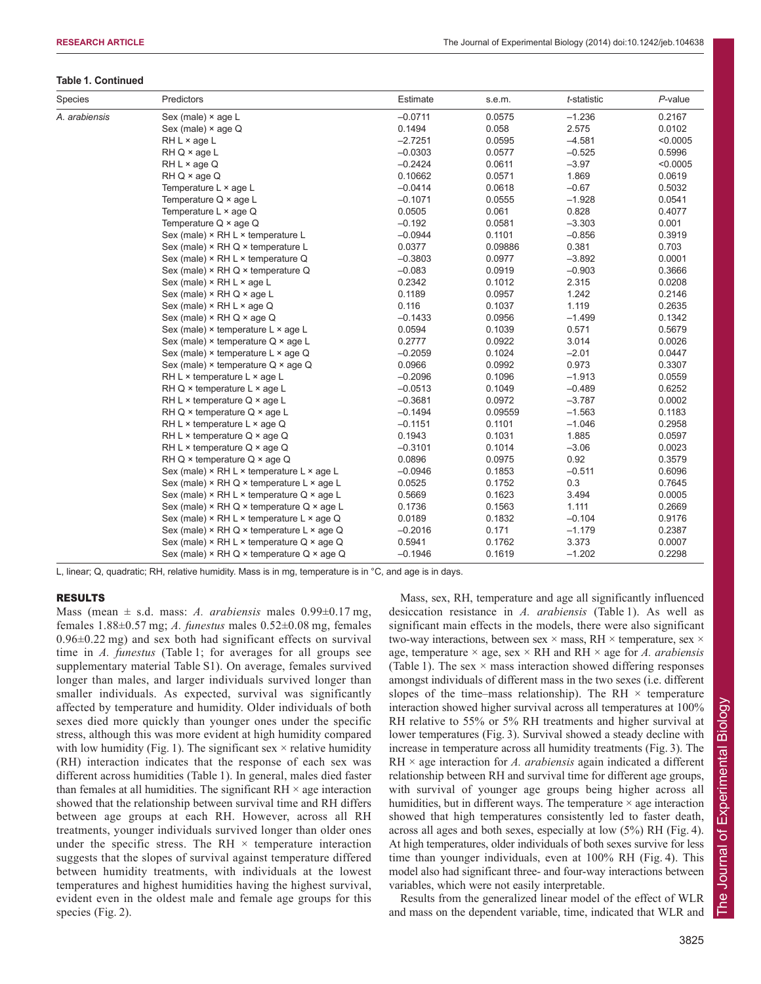#### **Table 1. Continued**

| Species       | Predictors                                                     | Estimate  | s.e.m.  | t-statistic | $P$ -value |
|---------------|----------------------------------------------------------------|-----------|---------|-------------|------------|
| A. arabiensis | Sex (male) $\times$ age L                                      | $-0.0711$ | 0.0575  | $-1.236$    | 0.2167     |
|               | Sex (male) $\times$ age Q                                      | 0.1494    | 0.058   | 2.575       | 0.0102     |
|               | $RHL \times age L$                                             | $-2.7251$ | 0.0595  | $-4.581$    | < 0.0005   |
|               | $RH Q \times age L$                                            | $-0.0303$ | 0.0577  | $-0.525$    | 0.5996     |
|               | $RHL \times age Q$                                             | $-0.2424$ | 0.0611  | $-3.97$     | < 0.0005   |
|               | $RH Q \times age Q$                                            | 0.10662   | 0.0571  | 1.869       | 0.0619     |
|               | Temperature L × age L                                          | $-0.0414$ | 0.0618  | $-0.67$     | 0.5032     |
|               | Temperature Q × age L                                          | $-0.1071$ | 0.0555  | $-1.928$    | 0.0541     |
|               | Temperature L × age Q                                          | 0.0505    | 0.061   | 0.828       | 0.4077     |
|               | Temperature $Q \times age Q$                                   | $-0.192$  | 0.0581  | $-3.303$    | 0.001      |
|               | Sex (male) × RH L × temperature L                              | $-0.0944$ | 0.1101  | $-0.856$    | 0.3919     |
|               | Sex (male) × RH Q × temperature L                              | 0.0377    | 0.09886 | 0.381       | 0.703      |
|               | Sex (male) × RH L × temperature Q                              | $-0.3803$ | 0.0977  | $-3.892$    | 0.0001     |
|               | Sex (male) $\times$ RH Q $\times$ temperature Q                | $-0.083$  | 0.0919  | $-0.903$    | 0.3666     |
|               | Sex (male) $\times$ RH L $\times$ age L                        | 0.2342    | 0.1012  | 2.315       | 0.0208     |
|               | Sex (male) $\times$ RH Q $\times$ age L                        | 0.1189    | 0.0957  | 1.242       | 0.2146     |
|               | Sex (male) $\times$ RH L $\times$ age Q                        | 0.116     | 0.1037  | 1.119       | 0.2635     |
|               | Sex (male) $\times$ RH Q $\times$ age Q                        | $-0.1433$ | 0.0956  | $-1.499$    | 0.1342     |
|               | Sex (male) × temperature L × age L                             | 0.0594    | 0.1039  | 0.571       | 0.5679     |
|               | Sex (male) $\times$ temperature Q $\times$ age L               | 0.2777    | 0.0922  | 3.014       | 0.0026     |
|               | Sex (male) × temperature L × age Q                             | $-0.2059$ | 0.1024  | $-2.01$     | 0.0447     |
|               | Sex (male) $\times$ temperature Q $\times$ age Q               | 0.0966    | 0.0992  | 0.973       | 0.3307     |
|               | RH L × temperature L × age L                                   | $-0.2096$ | 0.1096  | $-1.913$    | 0.0559     |
|               | RH Q × temperature L × age L                                   | $-0.0513$ | 0.1049  | $-0.489$    | 0.6252     |
|               | RH L $\times$ temperature Q $\times$ age L                     | $-0.3681$ | 0.0972  | $-3.787$    | 0.0002     |
|               | RH Q $\times$ temperature Q $\times$ age L                     | $-0.1494$ | 0.09559 | $-1.563$    | 0.1183     |
|               | RH L $\times$ temperature L $\times$ age Q                     | $-0.1151$ | 0.1101  | $-1.046$    | 0.2958     |
|               | RH L $\times$ temperature Q $\times$ age Q                     | 0.1943    | 0.1031  | 1.885       | 0.0597     |
|               | RH L $\times$ temperature Q $\times$ age Q                     | $-0.3101$ | 0.1014  | $-3.06$     | 0.0023     |
|               | RH $Q \times$ temperature $Q \times$ age $Q$                   | 0.0896    | 0.0975  | 0.92        | 0.3579     |
|               | Sex (male) × RH L × temperature L × age L                      | $-0.0946$ | 0.1853  | $-0.511$    | 0.6096     |
|               | Sex (male) $\times$ RH Q $\times$ temperature L $\times$ age L | 0.0525    | 0.1752  | 0.3         | 0.7645     |
|               | Sex (male) × RH L × temperature Q × age L                      | 0.5669    | 0.1623  | 3.494       | 0.0005     |
|               | Sex (male) $\times$ RH Q $\times$ temperature Q $\times$ age L | 0.1736    | 0.1563  | 1.111       | 0.2669     |
|               | Sex (male) $\times$ RH L $\times$ temperature L $\times$ age Q | 0.0189    | 0.1832  | $-0.104$    | 0.9176     |
|               | Sex (male) × RH Q × temperature L × age Q                      | $-0.2016$ | 0.171   | $-1.179$    | 0.2387     |
|               | Sex (male) $\times$ RH L $\times$ temperature Q $\times$ age Q | 0.5941    | 0.1762  | 3.373       | 0.0007     |
|               | Sex (male) $\times$ RH Q $\times$ temperature Q $\times$ age Q | $-0.1946$ | 0.1619  | $-1.202$    | 0.2298     |

L, linear; Q, quadratic; RH, relative humidity. Mass is in mg, temperature is in °C, and age is in days.

### RESULTS

Mass (mean  $\pm$  s.d. mass: *A. arabiensis* males  $0.99\pm0.17$  mg, females 1.88±0.57 mg; *A. funestus* males 0.52±0.08 mg, females  $0.96\pm0.22$  mg) and sex both had significant effects on survival time in *A. funestus* (Table 1; for averages for all groups see supplementary material Table S1). On average, females survived longer than males, and larger individuals survived longer than smaller individuals. As expected, survival was significantly affected by temperature and humidity. Older individuals of both sexes died more quickly than younger ones under the specific stress, although this was more evident at high humidity compared with low humidity (Fig. 1). The significant sex  $\times$  relative humidity (RH) interaction indicates that the response of each sex was different across humidities (Table 1). In general, males died faster than females at all humidities. The significant  $RH \times$  age interaction showed that the relationship between survival time and RH differs between age groups at each RH. However, across all RH treatments, younger individuals survived longer than older ones under the specific stress. The RH  $\times$  temperature interaction suggests that the slopes of survival against temperature differed between humidity treatments, with individuals at the lowest temperatures and highest humidities having the highest survival, evident even in the oldest male and female age groups for this species (Fig. 2).

Mass, sex, RH, temperature and age all significantly influenced desiccation resistance in *A. arabiensis* (Table 1). As well as significant main effects in the models, there were also significant two-way interactions, between sex  $\times$  mass, RH  $\times$  temperature, sex  $\times$ age, temperature  $\times$  age, sex  $\times$  RH and RH  $\times$  age for *A. arabiensis* (Table 1). The sex  $\times$  mass interaction showed differing responses amongst individuals of different mass in the two sexes (i.e. different slopes of the time–mass relationship). The RH  $\times$  temperature interaction showed higher survival across all temperatures at 100% RH relative to 55% or 5% RH treatments and higher survival at lower temperatures (Fig. 3). Survival showed a steady decline with increase in temperature across all humidity treatments (Fig. 3). The RH × age interaction for *A. arabiensis* again indicated a different relationship between RH and survival time for different age groups, with survival of younger age groups being higher across all humidities, but in different ways. The temperature  $\times$  age interaction showed that high temperatures consistently led to faster death, across all ages and both sexes, especially at low (5%) RH (Fig. 4). At high temperatures, older individuals of both sexes survive for less time than younger individuals, even at 100% RH (Fig. 4). This model also had significant three- and four-way interactions between variables, which were not easily interpretable.

Results from the generalized linear model of the effect of WLR and mass on the dependent variable, time, indicated that WLR and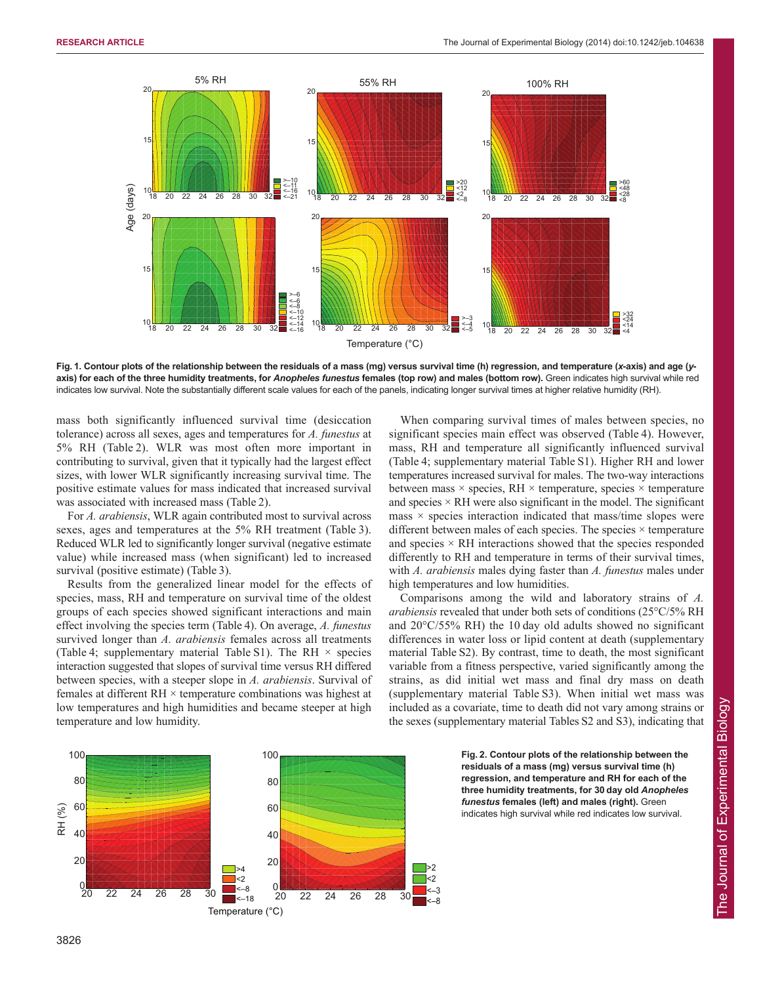

**Fig. 1. Contour plots of the relationship between the residuals of a mass (mg) versus survival time (h) regression, and temperature (***x***-axis) and age (***y*axis) for each of the three humidity treatments, for *Anopheles funestus* females (top row) and males (bottom row). Green indicates high survival while red indicates low survival. Note the substantially different scale values for each of the panels, indicating longer survival times at higher relative humidity (RH).

mass both significantly influenced survival time (desiccation tolerance) across all sexes, ages and temperatures for *A. funestus* at 5% RH (Table 2). WLR was most often more important in contributing to survival, given that it typically had the largest effect sizes, with lower WLR significantly increasing survival time. The positive estimate values for mass indicated that increased survival was associated with increased mass (Table 2).

For *A. arabiensis*, WLR again contributed most to survival across sexes, ages and temperatures at the 5% RH treatment (Table 3). Reduced WLR led to significantly longer survival (negative estimate value) while increased mass (when significant) led to increased survival (positive estimate) (Table 3).

Results from the generalized linear model for the effects of species, mass, RH and temperature on survival time of the oldest groups of each species showed significant interactions and main effect involving the species term (Table 4). On average, *A. funestus* survived longer than *A. arabiensis* females across all treatments (Table 4; supplementary material Table S1). The RH  $\times$  species interaction suggested that slopes of survival time versus RH differed between species, with a steeper slope in *A. arabiensis*. Survival of females at different  $RH \times$  temperature combinations was highest at low temperatures and high humidities and became steeper at high temperature and low humidity.

When comparing survival times of males between species, no significant species main effect was observed (Table 4). However, mass, RH and temperature all significantly influenced survival (Table 4; supplementary material Table S1). Higher RH and lower temperatures increased survival for males. The two-way interactions between mass  $\times$  species, RH  $\times$  temperature, species  $\times$  temperature and species  $\times$  RH were also significant in the model. The significant  $mass \times species$  interaction indicated that mass/time slopes were different between males of each species. The species  $\times$  temperature and species  $\times$  RH interactions showed that the species responded differently to RH and temperature in terms of their survival times, with *A. arabiensis* males dying faster than *A. funestus* males under high temperatures and low humidities.

Comparisons among the wild and laboratory strains of *A. arabiensis* revealed that under both sets of conditions (25°C/5% RH and 20°C/55% RH) the 10 day old adults showed no significant differences in water loss or lipid content at death (supplementary material Table S2). By contrast, time to death, the most significant variable from a fitness perspective, varied significantly among the strains, as did initial wet mass and final dry mass on death (supplementary material Table S3). When initial wet mass was included as a covariate, time to death did not vary among strains or the sexes (supplementary material Tables S2 and S3), indicating that



**Fig. 2. Contour plots of the relationship between the residuals of a mass (mg) versus survival time (h) regression, and temperature and RH for each of the three humidity treatments, for 30 day old** *Anopheles funestus* **females (left) and males (right).** Green indicates high survival while red indicates low survival.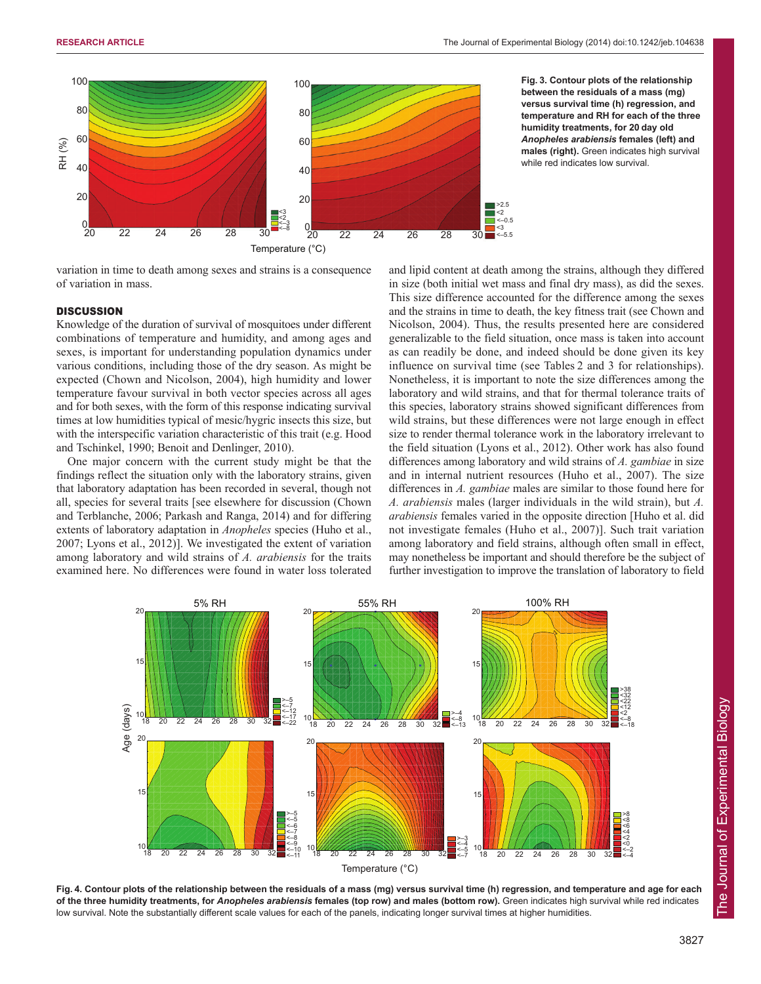

**Fig. 3. Contour plots of the relationship between the residuals of a mass (mg) versus survival time (h) regression, and temperature and RH for each of the three humidity treatments, for 20 day old** *Anopheles arabiensis* **females (left) and males (right).** Green indicates high survival while red indicates low survival.

variation in time to death among sexes and strains is a consequence of variation in mass.

#### **DISCUSSION**

Knowledge of the duration of survival of mosquitoes under different combinations of temperature and humidity, and among ages and sexes, is important for understanding population dynamics under various conditions, including those of the dry season. As might be expected (Chown and Nicolson, 2004), high humidity and lower temperature favour survival in both vector species across all ages and for both sexes, with the form of this response indicating survival times at low humidities typical of mesic/hygric insects this size, but with the interspecific variation characteristic of this trait (e.g. Hood and Tschinkel, 1990; Benoit and Denlinger, 2010).

One major concern with the current study might be that the findings reflect the situation only with the laboratory strains, given that laboratory adaptation has been recorded in several, though not all, species for several traits [see elsewhere for discussion (Chown and Terblanche, 2006; Parkash and Ranga, 2014) and for differing extents of laboratory adaptation in *Anopheles* species (Huho et al., 2007; Lyons et al., 2012)]. We investigated the extent of variation among laboratory and wild strains of *A. arabiensis* for the traits examined here. No differences were found in water loss tolerated and lipid content at death among the strains, although they differed in size (both initial wet mass and final dry mass), as did the sexes. This size difference accounted for the difference among the sexes and the strains in time to death, the key fitness trait (see Chown and Nicolson, 2004). Thus, the results presented here are considered generalizable to the field situation, once mass is taken into account as can readily be done, and indeed should be done given its key influence on survival time (see Tables 2 and 3 for relationships). Nonetheless, it is important to note the size differences among the laboratory and wild strains, and that for thermal tolerance traits of this species, laboratory strains showed significant differences from wild strains, but these differences were not large enough in effect size to render thermal tolerance work in the laboratory irrelevant to the field situation (Lyons et al., 2012). Other work has also found differences among laboratory and wild strains of *A. gambiae* in size and in internal nutrient resources (Huho et al., 2007). The size differences in *A. gambiae* males are similar to those found here for *A. arabiensis* males (larger individuals in the wild strain), but *A. arabiensis* females varied in the opposite direction [Huho et al. did not investigate females (Huho et al., 2007)]. Such trait variation among laboratory and field strains, although often small in effect, may nonetheless be important and should therefore be the subject of further investigation to improve the translation of laboratory to field



**Fig. 4. Contour plots of the relationship between the residuals of a mass (mg) versus survival time (h) regression, and temperature and age for each of the three humidity treatments, for** *Anopheles arabiensis* **females (top row) and males (bottom row).** Green indicates high survival while red indicates low survival. Note the substantially different scale values for each of the panels, indicating longer survival times at higher humidities.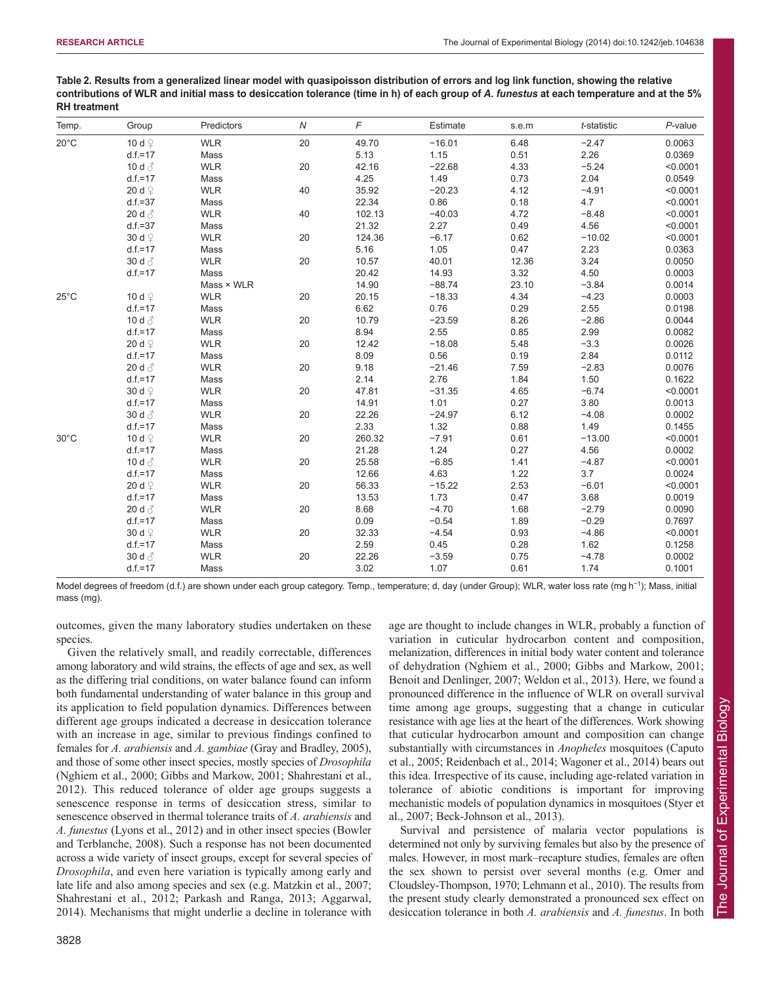| Temp.          | Group              | Predictors | N  | F      | Estimate | s.e.m | t-statistic | $P$ -value |
|----------------|--------------------|------------|----|--------|----------|-------|-------------|------------|
| $20^{\circ}$ C | 10 d <sup>2</sup>  | <b>WLR</b> | 20 | 49.70  | $-16.01$ | 6.48  | $-2.47$     | 0.0063     |
|                | $d.f.=17$          | Mass       |    | 5.13   | 1.15     | 0.51  | 2.26        | 0.0369     |
|                | 10 d $\delta$      | <b>WLR</b> | 20 | 42.16  | $-22.68$ | 4.33  | $-5.24$     | < 0.0001   |
|                | $d.f.=17$          | Mass       |    | 4.25   | 1.49     | 0.73  | 2.04        | 0.0549     |
|                | 20 d <sup>2</sup>  | <b>WLR</b> | 40 | 35.92  | $-20.23$ | 4.12  | $-4.91$     | < 0.0001   |
|                | $d.f.=37$          | Mass       |    | 22.34  | 0.86     | 0.18  | 4.7         | < 0.0001   |
|                | 20 d $\beta$       | <b>WLR</b> | 40 | 102.13 | $-40.03$ | 4.72  | $-8.48$     | < 0.0001   |
|                | $d.f.=37$          | Mass       |    | 21.32  | 2.27     | 0.49  | 4.56        | < 0.0001   |
|                | 30 d <sup>2</sup>  | <b>WLR</b> | 20 | 124.36 | $-6.17$  | 0.62  | $-10.02$    | < 0.0001   |
|                | $d.f.=17$          | Mass       |    | 5.16   | 1.05     | 0.47  | 2.23        | 0.0363     |
|                | 30 d $\delta$      | <b>WLR</b> | 20 | 10.57  | 40.01    | 12.36 | 3.24        | 0.0050     |
|                | $d.f.=17$          | Mass       |    | 20.42  | 14.93    | 3.32  | 4.50        | 0.0003     |
|                |                    | Mass × WLR |    | 14.90  | $-88.74$ | 23.10 | $-3.84$     | 0.0014     |
| $25^{\circ}$ C | 10 d $\mathcal{Q}$ | <b>WLR</b> | 20 | 20.15  | $-18.33$ | 4.34  | $-4.23$     | 0.0003     |
|                | $d.f.=17$          | Mass       |    | 6.62   | 0.76     | 0.29  | 2.55        | 0.0198     |
|                | 10 d $\beta$       | <b>WLR</b> | 20 | 10.79  | $-23.59$ | 8.26  | $-2.86$     | 0.0044     |
|                | $d.f.=17$          | Mass       |    | 8.94   | 2.55     | 0.85  | 2.99        | 0.0082     |
|                | 20 d $\circ$       | <b>WLR</b> | 20 | 12.42  | $-18.08$ | 5.48  | $-3.3$      | 0.0026     |
|                | $d.f.=17$          | Mass       |    | 8.09   | 0.56     | 0.19  | 2.84        | 0.0112     |
|                | 20 d $\delta$      | <b>WLR</b> | 20 | 9.18   | $-21.46$ | 7.59  | $-2.83$     | 0.0076     |
|                | $d.f.=17$          | Mass       |    | 2.14   | 2.76     | 1.84  | 1.50        | 0.1622     |
|                | 30 d <sup>2</sup>  | <b>WLR</b> | 20 | 47.81  | $-31.35$ | 4.65  | $-6.74$     | < 0.0001   |
|                | $d.f.=17$          | Mass       |    | 14.91  | 1.01     | 0.27  | 3.80        | 0.0013     |
|                | 30 d $\delta$      | <b>WLR</b> | 20 | 22.26  | $-24.97$ | 6.12  | $-4.08$     | 0.0002     |
|                | $d.f.=17$          | Mass       |    | 2.33   | 1.32     | 0.88  | 1.49        | 0.1455     |
| $30^{\circ}$ C | 10 d $\mathcal{Q}$ | <b>WLR</b> | 20 | 260.32 | $-7.91$  | 0.61  | $-13.00$    | < 0.0001   |
|                | $d.f.=17$          | Mass       |    | 21.28  | 1.24     | 0.27  | 4.56        | 0.0002     |
|                | 10 d $\delta$      | <b>WLR</b> | 20 | 25.58  | $-6.85$  | 1.41  | $-4.87$     | < 0.0001   |
|                | $d.f.=17$          | Mass       |    | 12.66  | 4.63     | 1.22  | 3.7         | 0.0024     |
|                | 20 d <sup>2</sup>  | <b>WLR</b> | 20 | 56.33  | $-15.22$ | 2.53  | $-6.01$     | < 0.0001   |
|                | $d.f.=17$          | Mass       |    | 13.53  | 1.73     | 0.47  | 3.68        | 0.0019     |
|                | 20 d $\delta$      | <b>WLR</b> | 20 | 8.68   | $-4.70$  | 1.68  | $-2.79$     | 0.0090     |
|                | $d.f.=17$          | Mass       |    | 0.09   | $-0.54$  | 1.89  | $-0.29$     | 0.7697     |
|                | 30 d $\circ$       | <b>WLR</b> | 20 | 32.33  | $-4.54$  | 0.93  | $-4.86$     | < 0.0001   |
|                | $d.f.=17$          | Mass       |    | 2.59   | 0.45     | 0.28  | 1.62        | 0.1258     |
|                | 30 d $\delta$      | <b>WLR</b> | 20 | 22.26  | $-3.59$  | 0.75  | $-4.78$     | 0.0002     |
|                | $d.f.=17$          | Mass       |    | 3.02   | 1.07     | 0.61  | 1.74        | 0.1001     |

**Table 2. Results from a generalized linear model with quasipoisson distribution of errors and log link function, showing the relative contributions of WLR and initial mass to desiccation tolerance (time in h) of each group of** *A. funestus* **at each temperature and at the 5% RH treatment**

Model degrees of freedom (d.f.) are shown under each group category. Temp., temperature; d, day (under Group); WLR, water loss rate (mg h<sup>-1</sup>); Mass, initial mass (mg).

outcomes, given the many laboratory studies undertaken on these species.

Given the relatively small, and readily correctable, differences among laboratory and wild strains, the effects of age and sex, as well as the differing trial conditions, on water balance found can inform both fundamental understanding of water balance in this group and its application to field population dynamics. Differences between different age groups indicated a decrease in desiccation tolerance with an increase in age, similar to previous findings confined to females for *A. arabiensis* and *A. gambiae* (Gray and Bradley, 2005), and those of some other insect species, mostly species of *Drosophila* (Nghiem et al., 2000; Gibbs and Markow, 2001; Shahrestani et al., 2012). This reduced tolerance of older age groups suggests a senescence response in terms of desiccation stress, similar to senescence observed in thermal tolerance traits of *A. arabiensis* and *A. funestus* (Lyons et al., 2012) and in other insect species (Bowler and Terblanche, 2008). Such a response has not been documented across a wide variety of insect groups, except for several species of *Drosophila*, and even here variation is typically among early and late life and also among species and sex (e.g. Matzkin et al., 2007; Shahrestani et al., 2012; Parkash and Ranga, 2013; Aggarwal, 2014). Mechanisms that might underlie a decline in tolerance with age are thought to include changes in WLR, probably a function of variation in cuticular hydrocarbon content and composition, melanization, differences in initial body water content and tolerance of dehydration (Nghiem et al., 2000; Gibbs and Markow, 2001; Benoit and Denlinger, 2007; Weldon et al., 2013). Here, we found a pronounced difference in the influence of WLR on overall survival time among age groups, suggesting that a change in cuticular resistance with age lies at the heart of the differences. Work showing that cuticular hydrocarbon amount and composition can change substantially with circumstances in *Anopheles* mosquitoes (Caputo et al., 2005; Reidenbach et al., 2014; Wagoner et al., 2014) bears out this idea. Irrespective of its cause, including age-related variation in tolerance of abiotic conditions is important for improving mechanistic models of population dynamics in mosquitoes (Styer et al., 2007; Beck-Johnson et al., 2013).

Survival and persistence of malaria vector populations is determined not only by surviving females but also by the presence of males. However, in most mark–recapture studies, females are often the sex shown to persist over several months (e.g. Omer and Cloudsley-Thompson, 1970; Lehmann et al., 2010). The results from the present study clearly demonstrated a pronounced sex effect on desiccation tolerance in both *A. arabiensis* and *A. funestus*. In both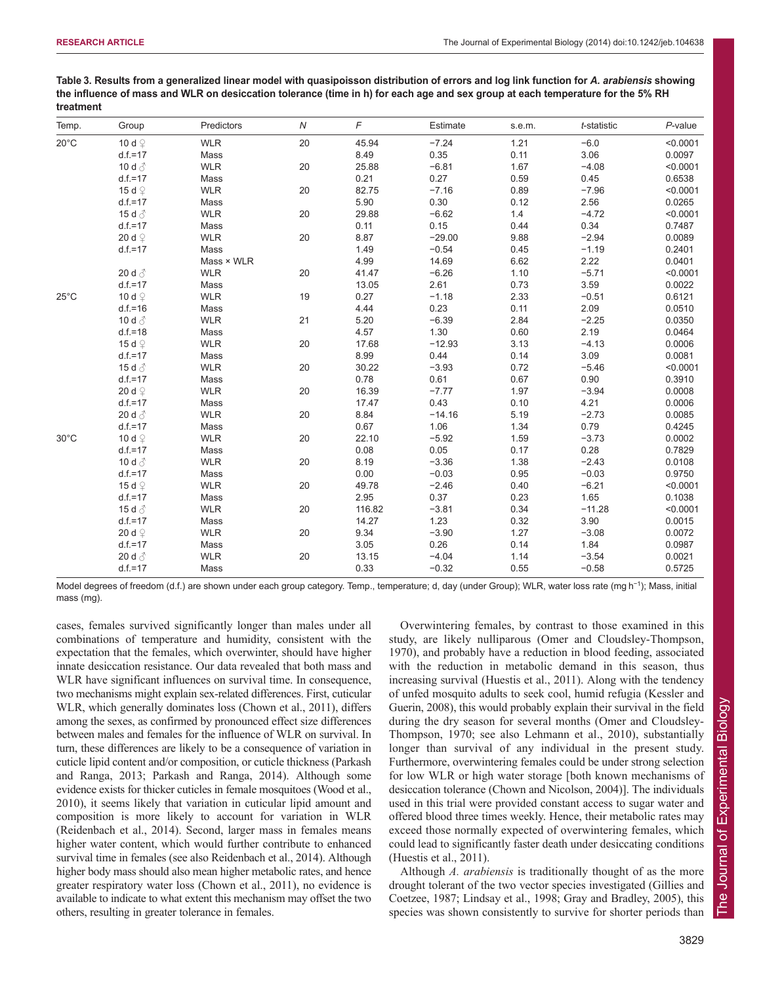| Temp.          | Group               | Predictors | ${\cal N}$ | F      | Estimate | s.e.m. | t-statistic | $P$ -value |
|----------------|---------------------|------------|------------|--------|----------|--------|-------------|------------|
| $20^{\circ}$ C | 10 d $\mathcal{Q}$  | <b>WLR</b> | 20         | 45.94  | $-7.24$  | 1.21   | $-6.0$      | < 0.0001   |
|                | $d.f.=17$           | Mass       |            | 8.49   | 0.35     | 0.11   | 3.06        | 0.0097     |
|                | 10 d $\delta$       | <b>WLR</b> | 20         | 25.88  | $-6.81$  | 1.67   | $-4.08$     | < 0.0001   |
|                | $d.f.=17$           | Mass       |            | 0.21   | 0.27     | 0.59   | 0.45        | 0.6538     |
|                | 15 d <sup>2</sup>   | <b>WLR</b> | 20         | 82.75  | $-7.16$  | 0.89   | $-7.96$     | < 0.0001   |
|                | $d.f.=17$           | Mass       |            | 5.90   | 0.30     | 0.12   | 2.56        | 0.0265     |
|                | 15 d $\delta$       | <b>WLR</b> | 20         | 29.88  | $-6.62$  | 1.4    | $-4.72$     | < 0.0001   |
|                | $d.f.=17$           | Mass       |            | 0.11   | 0.15     | 0.44   | 0.34        | 0.7487     |
|                | 20 d $\mathcal{Q}$  | <b>WLR</b> | 20         | 8.87   | $-29.00$ | 9.88   | $-2.94$     | 0.0089     |
|                | $d.f.=17$           | Mass       |            | 1.49   | $-0.54$  | 0.45   | $-1.19$     | 0.2401     |
|                |                     | Mass × WLR |            | 4.99   | 14.69    | 6.62   | 2.22        | 0.0401     |
|                | 20 d $\delta$       | <b>WLR</b> | 20         | 41.47  | $-6.26$  | 1.10   | $-5.71$     | < 0.0001   |
|                | $d.f.=17$           | Mass       |            | 13.05  | 2.61     | 0.73   | 3.59        | 0.0022     |
| $25^{\circ}$ C | 10 d $\sqrt{2}$     | <b>WLR</b> | 19         | 0.27   | $-1.18$  | 2.33   | $-0.51$     | 0.6121     |
|                | $d.f.=16$           | Mass       |            | 4.44   | 0.23     | 0.11   | 2.09        | 0.0510     |
|                | 10 d $\delta$       | <b>WLR</b> | 21         | 5.20   | $-6.39$  | 2.84   | $-2.25$     | 0.0350     |
|                | $d.f.=18$           | Mass       |            | 4.57   | 1.30     | 0.60   | 2.19        | 0.0464     |
|                | 15 d <sup>2</sup>   | <b>WLR</b> | 20         | 17.68  | $-12.93$ | 3.13   | $-4.13$     | 0.0006     |
|                | $d.f.=17$           | Mass       |            | 8.99   | 0.44     | 0.14   | 3.09        | 0.0081     |
|                | 15 d $\delta$       | <b>WLR</b> | 20         | 30.22  | $-3.93$  | 0.72   | $-5.46$     | < 0.0001   |
|                | $d.f.=17$           | Mass       |            | 0.78   | 0.61     | 0.67   | 0.90        | 0.3910     |
|                | 20 d $\circledcirc$ | <b>WLR</b> | 20         | 16.39  | $-7.77$  | 1.97   | $-3.94$     | 0.0008     |
|                | $d.f.=17$           | Mass       |            | 17.47  | 0.43     | 0.10   | 4.21        | 0.0006     |
|                | 20 d $\delta$       | <b>WLR</b> | 20         | 8.84   | $-14.16$ | 5.19   | $-2.73$     | 0.0085     |
|                | $d.f.=17$           | Mass       |            | 0.67   | 1.06     | 1.34   | 0.79        | 0.4245     |
| $30^{\circ}$ C | 10 d $\mathcal{Q}$  | <b>WLR</b> | 20         | 22.10  | $-5.92$  | 1.59   | $-3.73$     | 0.0002     |
|                | $d.f.=17$           | Mass       |            | 0.08   | 0.05     | 0.17   | 0.28        | 0.7829     |
|                | 10 d $\delta$       | <b>WLR</b> | 20         | 8.19   | $-3.36$  | 1.38   | $-2.43$     | 0.0108     |
|                | $d.f.=17$           | Mass       |            | 0.00   | $-0.03$  | 0.95   | $-0.03$     | 0.9750     |
|                | 15 d $\mathcal{Q}$  | <b>WLR</b> | 20         | 49.78  | $-2.46$  | 0.40   | $-6.21$     | < 0.0001   |
|                | $d.f.=17$           | Mass       |            | 2.95   | 0.37     | 0.23   | 1.65        | 0.1038     |
|                | 15 d $\delta$       | <b>WLR</b> | 20         | 116.82 | $-3.81$  | 0.34   | $-11.28$    | < 0.0001   |
|                | $d.f.=17$           | Mass       |            | 14.27  | 1.23     | 0.32   | 3.90        | 0.0015     |
|                | 20 d $\mathcal{Q}$  | <b>WLR</b> | 20         | 9.34   | $-3.90$  | 1.27   | $-3.08$     | 0.0072     |
|                | $d.f.=17$           | Mass       |            | 3.05   | 0.26     | 0.14   | 1.84        | 0.0987     |
|                | 20 d $\delta$       | <b>WLR</b> | 20         | 13.15  | $-4.04$  | 1.14   | $-3.54$     | 0.0021     |
|                | $d.f.=17$           | Mass       |            | 0.33   | $-0.32$  | 0.55   | $-0.58$     | 0.5725     |

**Table 3. Results from a generalized linear model with quasipoisson distribution of errors and log link function for** *A. arabiensis* **showing the influence of mass and WLR on desiccation tolerance (time in h) for each age and sex group at each temperature for the 5% RH treatment**

Model degrees of freedom (d.f.) are shown under each group category. Temp., temperature; d, day (under Group); WLR, water loss rate (mg h<sup>-1</sup>); Mass, initial mass (mg).

cases, females survived significantly longer than males under all combinations of temperature and humidity, consistent with the expectation that the females, which overwinter, should have higher innate desiccation resistance. Our data revealed that both mass and WLR have significant influences on survival time. In consequence, two mechanisms might explain sex-related differences. First, cuticular WLR, which generally dominates loss (Chown et al., 2011), differs among the sexes, as confirmed by pronounced effect size differences between males and females for the influence of WLR on survival. In turn, these differences are likely to be a consequence of variation in cuticle lipid content and/or composition, or cuticle thickness (Parkash and Ranga, 2013; Parkash and Ranga, 2014). Although some evidence exists for thicker cuticles in female mosquitoes (Wood et al., 2010), it seems likely that variation in cuticular lipid amount and composition is more likely to account for variation in WLR (Reidenbach et al., 2014). Second, larger mass in females means higher water content, which would further contribute to enhanced survival time in females (see also Reidenbach et al., 2014). Although higher body mass should also mean higher metabolic rates, and hence greater respiratory water loss (Chown et al., 2011), no evidence is available to indicate to what extent this mechanism may offset the two others, resulting in greater tolerance in females.

Overwintering females, by contrast to those examined in this study, are likely nulliparous (Omer and Cloudsley-Thompson, 1970), and probably have a reduction in blood feeding, associated with the reduction in metabolic demand in this season, thus increasing survival (Huestis et al., 2011). Along with the tendency of unfed mosquito adults to seek cool, humid refugia (Kessler and Guerin, 2008), this would probably explain their survival in the field during the dry season for several months (Omer and Cloudsley-Thompson, 1970; see also Lehmann et al., 2010), substantially longer than survival of any individual in the present study. Furthermore, overwintering females could be under strong selection for low WLR or high water storage [both known mechanisms of desiccation tolerance (Chown and Nicolson, 2004)]. The individuals used in this trial were provided constant access to sugar water and offered blood three times weekly. Hence, their metabolic rates may exceed those normally expected of overwintering females, which could lead to significantly faster death under desiccating conditions (Huestis et al., 2011).

Although *A. arabiensis* is traditionally thought of as the more drought tolerant of the two vector species investigated (Gillies and Coetzee, 1987; Lindsay et al., 1998; Gray and Bradley, 2005), this species was shown consistently to survive for shorter periods than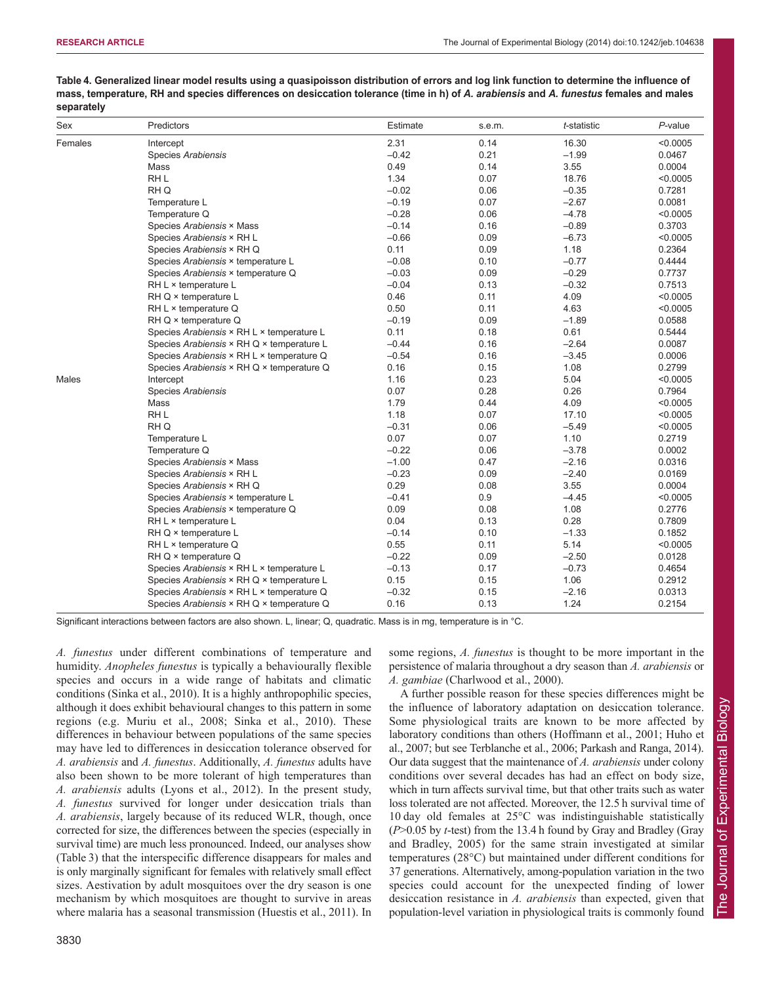# **Table 4. Generalized linear model results using a quasipoisson distribution of errors and log link function to determine the influence of** mass, temperature, RH and species differences on desiccation tolerance (time in h) of A. arabiensis and A. funestus females and males **separately**

| Sex     | Predictors                                | Estimate | s.e.m. | t-statistic | $P$ -value |
|---------|-------------------------------------------|----------|--------|-------------|------------|
| Females | Intercept                                 | 2.31     | 0.14   | 16.30       | < 0.0005   |
|         | Species Arabiensis                        | $-0.42$  | 0.21   | $-1.99$     | 0.0467     |
|         | Mass                                      | 0.49     | 0.14   | 3.55        | 0.0004     |
|         | RH L                                      | 1.34     | 0.07   | 18.76       | < 0.0005   |
|         | RH Q                                      | $-0.02$  | 0.06   | $-0.35$     | 0.7281     |
|         | Temperature L                             | $-0.19$  | 0.07   | $-2.67$     | 0.0081     |
|         | Temperature Q                             | $-0.28$  | 0.06   | $-4.78$     | < 0.0005   |
|         | Species Arabiensis × Mass                 | $-0.14$  | 0.16   | $-0.89$     | 0.3703     |
|         | Species Arabiensis × RH L                 | $-0.66$  | 0.09   | $-6.73$     | < 0.0005   |
|         | Species Arabiensis × RH Q                 | 0.11     | 0.09   | 1.18        | 0.2364     |
|         | Species Arabiensis × temperature L        | $-0.08$  | 0.10   | $-0.77$     | 0.4444     |
|         | Species Arabiensis × temperature Q        | $-0.03$  | 0.09   | $-0.29$     | 0.7737     |
|         | RH L × temperature L                      | $-0.04$  | 0.13   | $-0.32$     | 0.7513     |
|         | RH Q × temperature L                      | 0.46     | 0.11   | 4.09        | < 0.0005   |
|         | $RH L \times$ temperature Q               | 0.50     | 0.11   | 4.63        | < 0.0005   |
|         | RH Q × temperature Q                      | $-0.19$  | 0.09   | $-1.89$     | 0.0588     |
|         | Species Arabiensis × RH L × temperature L | 0.11     | 0.18   | 0.61        | 0.5444     |
|         | Species Arabiensis × RH Q × temperature L | $-0.44$  | 0.16   | $-2.64$     | 0.0087     |
|         | Species Arabiensis × RH L × temperature Q | $-0.54$  | 0.16   | $-3.45$     | 0.0006     |
|         | Species Arabiensis × RH Q × temperature Q | 0.16     | 0.15   | 1.08        | 0.2799     |
| Males   | Intercept                                 | 1.16     | 0.23   | 5.04        | < 0.0005   |
|         | Species Arabiensis                        | 0.07     | 0.28   | 0.26        | 0.7964     |
|         | Mass                                      | 1.79     | 0.44   | 4.09        | < 0.0005   |
|         | RH L                                      | 1.18     | 0.07   | 17.10       | < 0.0005   |
|         | RH Q                                      | $-0.31$  | 0.06   | $-5.49$     | < 0.0005   |
|         | Temperature L                             | 0.07     | 0.07   | 1.10        | 0.2719     |
|         | Temperature Q                             | $-0.22$  | 0.06   | $-3.78$     | 0.0002     |
|         | Species Arabiensis × Mass                 | $-1.00$  | 0.47   | $-2.16$     | 0.0316     |
|         | Species Arabiensis × RH L                 | $-0.23$  | 0.09   | $-2.40$     | 0.0169     |
|         | Species Arabiensis × RH Q                 | 0.29     | 0.08   | 3.55        | 0.0004     |
|         | Species Arabiensis × temperature L        | $-0.41$  | 0.9    | $-4.45$     | < 0.0005   |
|         | Species Arabiensis × temperature Q        | 0.09     | 0.08   | 1.08        | 0.2776     |
|         | RH L × temperature L                      | 0.04     | 0.13   | 0.28        | 0.7809     |
|         | RH Q × temperature L                      | $-0.14$  | 0.10   | $-1.33$     | 0.1852     |
|         | RH L × temperature Q                      | 0.55     | 0.11   | 5.14        | < 0.0005   |
|         | $RH Q \times$ temperature $Q$             | $-0.22$  | 0.09   | $-2.50$     | 0.0128     |
|         | Species Arabiensis × RH L × temperature L | $-0.13$  | 0.17   | $-0.73$     | 0.4654     |
|         | Species Arabiensis × RH Q × temperature L | 0.15     | 0.15   | 1.06        | 0.2912     |
|         | Species Arabiensis × RH L × temperature Q | $-0.32$  | 0.15   | $-2.16$     | 0.0313     |
|         | Species Arabiensis × RH Q × temperature Q | 0.16     | 0.13   | 1.24        | 0.2154     |
|         |                                           |          |        |             |            |

Significant interactions between factors are also shown. L, linear; Q, quadratic. Mass is in mg, temperature is in °C.

*A. funestus* under different combinations of temperature and humidity. *Anopheles funestus* is typically a behaviourally flexible species and occurs in a wide range of habitats and climatic conditions (Sinka et al., 2010). It is a highly anthropophilic species, although it does exhibit behavioural changes to this pattern in some regions (e.g. Muriu et al., 2008; Sinka et al., 2010). These differences in behaviour between populations of the same species may have led to differences in desiccation tolerance observed for *A. arabiensis* and *A. funestus*. Additionally, *A. funestus* adults have also been shown to be more tolerant of high temperatures than *A. arabiensis* adults (Lyons et al., 2012). In the present study, *A. funestus* survived for longer under desiccation trials than *A. arabiensis*, largely because of its reduced WLR, though, once corrected for size, the differences between the species (especially in survival time) are much less pronounced. Indeed, our analyses show (Table 3) that the interspecific difference disappears for males and is only marginally significant for females with relatively small effect sizes. Aestivation by adult mosquitoes over the dry season is one mechanism by which mosquitoes are thought to survive in areas where malaria has a seasonal transmission (Huestis et al., 2011). In some regions, *A. funestus* is thought to be more important in the persistence of malaria throughout a dry season than *A. arabiensis* or *A. gambiae* (Charlwood et al., 2000).

A further possible reason for these species differences might be the influence of laboratory adaptation on desiccation tolerance. Some physiological traits are known to be more affected by laboratory conditions than others (Hoffmann et al., 2001; Huho et al., 2007; but see Terblanche et al., 2006; Parkash and Ranga, 2014). Our data suggest that the maintenance of *A. arabiensis* under colony conditions over several decades has had an effect on body size, which in turn affects survival time, but that other traits such as water loss tolerated are not affected. Moreover, the 12.5 h survival time of 10 day old females at 25°C was indistinguishable statistically (*P*>0.05 by *t*-test) from the 13.4 h found by Gray and Bradley (Gray and Bradley, 2005) for the same strain investigated at similar temperatures (28°C) but maintained under different conditions for 37 generations. Alternatively, among-population variation in the two species could account for the unexpected finding of lower desiccation resistance in *A. arabiensis* than expected, given that population-level variation in physiological traits is commonly found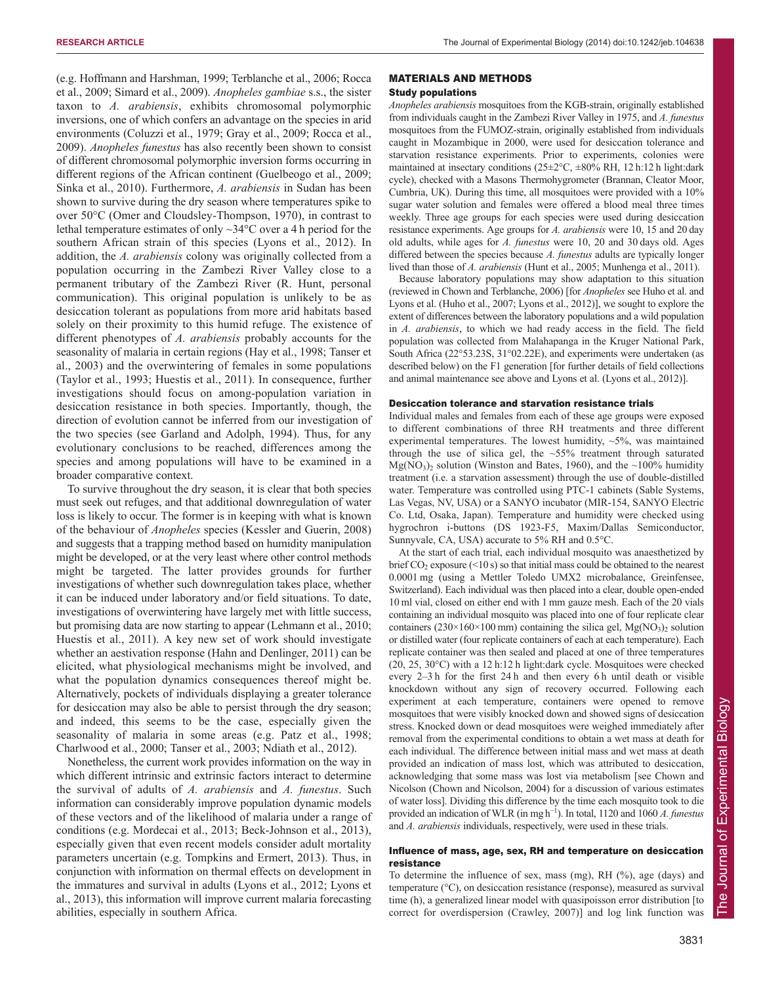(e.g. Hoffmann and Harshman, 1999; Terblanche et al., 2006; Rocca et al., 2009; Simard et al., 2009). *Anopheles gambiae* s.s., the sister taxon to *A. arabiensis*, exhibits chromosomal polymorphic inversions, one of which confers an advantage on the species in arid environments (Coluzzi et al., 1979; Gray et al., 2009; Rocca et al., 2009). *Anopheles funestus* has also recently been shown to consist of different chromosomal polymorphic inversion forms occurring in different regions of the African continent (Guelbeogo et al., 2009; Sinka et al., 2010). Furthermore, *A. arabiensis* in Sudan has been shown to survive during the dry season where temperatures spike to over 50°C (Omer and Cloudsley-Thompson, 1970), in contrast to lethal temperature estimates of only ~34°C over a 4 h period for the southern African strain of this species (Lyons et al., 2012). In addition, the *A. arabiensis* colony was originally collected from a population occurring in the Zambezi River Valley close to a permanent tributary of the Zambezi River (R. Hunt, personal communication). This original population is unlikely to be as desiccation tolerant as populations from more arid habitats based solely on their proximity to this humid refuge. The existence of different phenotypes of *A. arabiensis* probably accounts for the seasonality of malaria in certain regions (Hay et al., 1998; Tanser et al., 2003) and the overwintering of females in some populations (Taylor et al., 1993; Huestis et al., 2011). In consequence, further investigations should focus on among-population variation in desiccation resistance in both species. Importantly, though, the direction of evolution cannot be inferred from our investigation of the two species (see Garland and Adolph, 1994). Thus, for any evolutionary conclusions to be reached, differences among the species and among populations will have to be examined in a broader comparative context.

To survive throughout the dry season, it is clear that both species must seek out refuges, and that additional downregulation of water loss is likely to occur. The former is in keeping with what is known of the behaviour of *Anopheles* species (Kessler and Guerin, 2008) and suggests that a trapping method based on humidity manipulation might be developed, or at the very least where other control methods might be targeted. The latter provides grounds for further investigations of whether such downregulation takes place, whether it can be induced under laboratory and/or field situations. To date, investigations of overwintering have largely met with little success, but promising data are now starting to appear (Lehmann et al., 2010; Huestis et al., 2011). A key new set of work should investigate whether an aestivation response (Hahn and Denlinger, 2011) can be elicited, what physiological mechanisms might be involved, and what the population dynamics consequences thereof might be. Alternatively, pockets of individuals displaying a greater tolerance for desiccation may also be able to persist through the dry season; and indeed, this seems to be the case, especially given the seasonality of malaria in some areas (e.g. Patz et al., 1998; Charlwood et al., 2000; Tanser et al., 2003; Ndiath et al., 2012).

Nonetheless, the current work provides information on the way in which different intrinsic and extrinsic factors interact to determine the survival of adults of *A. arabiensis* and *A. funestus*. Such information can considerably improve population dynamic models of these vectors and of the likelihood of malaria under a range of conditions (e.g. Mordecai et al., 2013; Beck-Johnson et al., 2013), especially given that even recent models consider adult mortality parameters uncertain (e.g. Tompkins and Ermert, 2013). Thus, in conjunction with information on thermal effects on development in the immatures and survival in adults (Lyons et al., 2012; Lyons et al., 2013), this information will improve current malaria forecasting abilities, especially in southern Africa.

# MATERIALS AND METHODS

# Study populations

*Anopheles arabiensis* mosquitoes from the KGB-strain, originally established from individuals caught in the Zambezi River Valley in 1975, and *A. funestus* mosquitoes from the FUMOZ-strain, originally established from individuals caught in Mozambique in 2000, were used for desiccation tolerance and starvation resistance experiments. Prior to experiments, colonies were maintained at insectary conditions  $(25\pm2\degree C, \pm 80\% \text{ RH}, 12 \text{ h}; 12 \text{ h} \text{ light}: \text{dark}$ cycle), checked with a Masons Thermohygrometer (Brannan, Cleator Moor, Cumbria, UK). During this time, all mosquitoes were provided with a 10% sugar water solution and females were offered a blood meal three times weekly. Three age groups for each species were used during desiccation resistance experiments. Age groups for *A. arabiensis* were 10, 15 and 20 day old adults, while ages for *A. funestus* were 10, 20 and 30 days old. Ages differed between the species because *A. funestus* adults are typically longer lived than those of *A. arabiensis* (Hunt et al., 2005; Munhenga et al., 2011).

Because laboratory populations may show adaptation to this situation (reviewed in Chown and Terblanche, 2006) [for *Anopheles* see Huho et al. and Lyons et al. (Huho et al., 2007; Lyons et al., 2012)], we sought to explore the extent of differences between the laboratory populations and a wild population in *A. arabiensis*, to which we had ready access in the field. The field population was collected from Malahapanga in the Kruger National Park, South Africa (22°53.23S, 31°02.22E), and experiments were undertaken (as described below) on the F1 generation [for further details of field collections and animal maintenance see above and Lyons et al. (Lyons et al., 2012)].

#### Desiccation tolerance and starvation resistance trials

Individual males and females from each of these age groups were exposed to different combinations of three RH treatments and three different experimental temperatures. The lowest humidity,  $\sim$ 5%, was maintained through the use of silica gel, the  $\sim$ 55% treatment through saturated  $Mg(NO<sub>3</sub>)<sub>2</sub>$  solution (Winston and Bates, 1960), and the ~100% humidity treatment (i.e. a starvation assessment) through the use of double-distilled water. Temperature was controlled using PTC-1 cabinets (Sable Systems, Las Vegas, NV, USA) or a SANYO incubator (MIR-154, SANYO Electric Co. Ltd, Osaka, Japan). Temperature and humidity were checked using hygrochron i-buttons (DS 1923-F5, Maxim/Dallas Semiconductor, Sunnyvale, CA, USA) accurate to 5% RH and 0.5°C.

At the start of each trial, each individual mosquito was anaesthetized by brief  $CO<sub>2</sub>$  exposure (<10 s) so that initial mass could be obtained to the nearest 0.0001 mg (using a Mettler Toledo UMX2 microbalance, Greinfensee, Switzerland). Each individual was then placed into a clear, double open-ended 10 ml vial, closed on either end with 1 mm gauze mesh. Each of the 20 vials containing an individual mosquito was placed into one of four replicate clear containers ( $230 \times 160 \times 100$  mm) containing the silica gel,  $Mg(NO_3)_2$  solution or distilled water (four replicate containers of each at each temperature). Each replicate container was then sealed and placed at one of three temperatures (20, 25, 30°C) with a 12 h:12 h light:dark cycle. Mosquitoes were checked every 2–3 h for the first 24 h and then every 6 h until death or visible knockdown without any sign of recovery occurred. Following each experiment at each temperature, containers were opened to remove mosquitoes that were visibly knocked down and showed signs of desiccation stress. Knocked down or dead mosquitoes were weighed immediately after removal from the experimental conditions to obtain a wet mass at death for each individual. The difference between initial mass and wet mass at death provided an indication of mass lost, which was attributed to desiccation, acknowledging that some mass was lost via metabolism [see Chown and Nicolson (Chown and Nicolson, 2004) for a discussion of various estimates of water loss]. Dividing this difference by the time each mosquito took to die provided an indication of WLR (in mg h<sup>−</sup><sup>1</sup> ). In total, 1120 and 1060 *A. funestus* and *A. arabiensis* individuals, respectively, were used in these trials.

# Influence of mass, age, sex, RH and temperature on desiccation resistance

To determine the influence of sex, mass (mg), RH (%), age (days) and temperature (°C), on desiccation resistance (response), measured as survival time (h), a generalized linear model with quasipoisson error distribution [to correct for overdispersion (Crawley, 2007)] and log link function was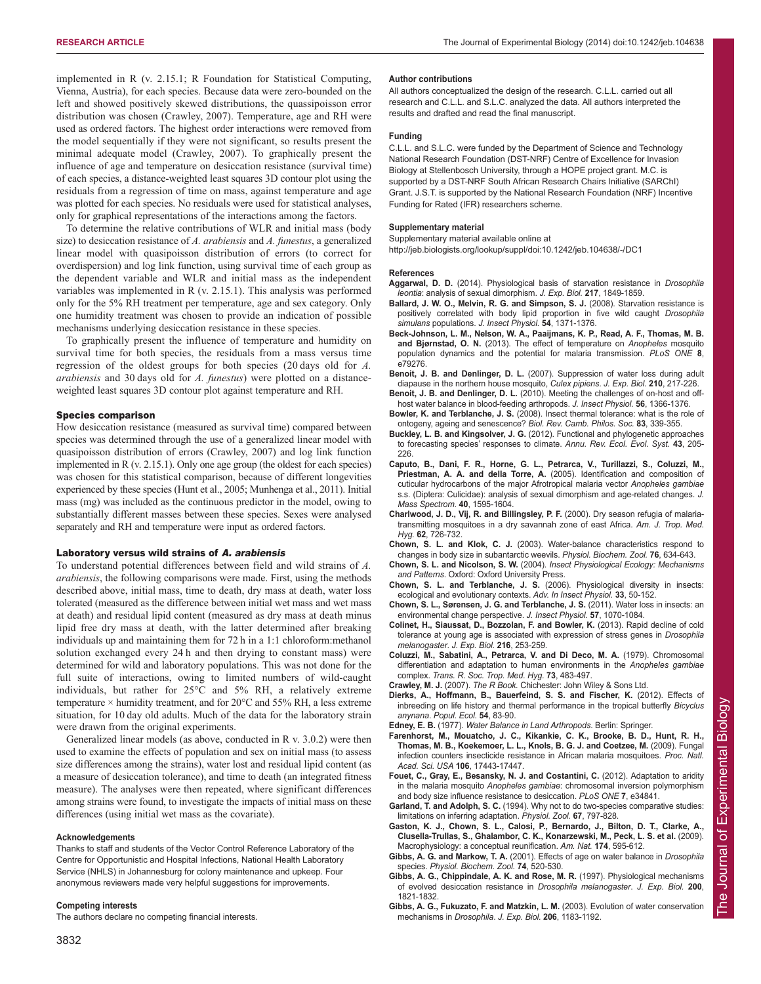implemented in R (v. 2.15.1; R Foundation for Statistical Computing, Vienna, Austria), for each species. Because data were zero-bounded on the left and showed positively skewed distributions, the quassipoisson error distribution was chosen (Crawley, 2007). Temperature, age and RH were used as ordered factors. The highest order interactions were removed from the model sequentially if they were not significant, so results present the minimal adequate model (Crawley, 2007). To graphically present the influence of age and temperature on desiccation resistance (survival time) of each species, a distance-weighted least squares 3D contour plot using the residuals from a regression of time on mass, against temperature and age was plotted for each species. No residuals were used for statistical analyses, only for graphical representations of the interactions among the factors.

To determine the relative contributions of WLR and initial mass (body size) to desiccation resistance of *A. arabiensis* and *A. funestus*, a generalized linear model with quasipoisson distribution of errors (to correct for overdispersion) and log link function, using survival time of each group as the dependent variable and WLR and initial mass as the independent variables was implemented in R (v. 2.15.1). This analysis was performed only for the 5% RH treatment per temperature, age and sex category. Only one humidity treatment was chosen to provide an indication of possible mechanisms underlying desiccation resistance in these species.

To graphically present the influence of temperature and humidity on survival time for both species, the residuals from a mass versus time regression of the oldest groups for both species (20 days old for *A. arabiensis* and 30 days old for *A. funestus*) were plotted on a distanceweighted least squares 3D contour plot against temperature and RH.

#### Species comparison

How desiccation resistance (measured as survival time) compared between species was determined through the use of a generalized linear model with quasipoisson distribution of errors (Crawley, 2007) and log link function implemented in R (v. 2.15.1). Only one age group (the oldest for each species) was chosen for this statistical comparison, because of different longevities experienced by these species (Hunt et al., 2005; Munhenga et al., 2011). Initial mass (mg) was included as the continuous predictor in the model, owing to substantially different masses between these species. Sexes were analysed separately and RH and temperature were input as ordered factors.

#### Laboratory versus wild strains of A. arabiensis

To understand potential differences between field and wild strains of *A. arabiensis*, the following comparisons were made. First, using the methods described above, initial mass, time to death, dry mass at death, water loss tolerated (measured as the difference between initial wet mass and wet mass at death) and residual lipid content (measured as dry mass at death minus lipid free dry mass at death, with the latter determined after breaking individuals up and maintaining them for 72 h in a 1:1 chloroform:methanol solution exchanged every 24 h and then drying to constant mass) were determined for wild and laboratory populations. This was not done for the full suite of interactions, owing to limited numbers of wild-caught individuals, but rather for 25°C and 5% RH, a relatively extreme temperature  $\times$  humidity treatment, and for 20 $^{\circ}$ C and 55% RH, a less extreme situation, for 10 day old adults. Much of the data for the laboratory strain were drawn from the original experiments.

Generalized linear models (as above, conducted in R v. 3.0.2) were then used to examine the effects of population and sex on initial mass (to assess size differences among the strains), water lost and residual lipid content (as a measure of desiccation tolerance), and time to death (an integrated fitness measure). The analyses were then repeated, where significant differences among strains were found, to investigate the impacts of initial mass on these differences (using initial wet mass as the covariate).

#### **Acknowledgements**

Thanks to staff and students of the Vector Control Reference Laboratory of the Centre for Opportunistic and Hospital Infections, National Health Laboratory Service (NHLS) in Johannesburg for colony maintenance and upkeep. Four anonymous reviewers made very helpful suggestions for improvements.

#### **Competing interests**

The authors declare no competing financial interests.

#### **Author contributions**

All authors conceptualized the design of the research. C.L.L. carried out all research and C.L.L. and S.L.C. analyzed the data. All authors interpreted the results and drafted and read the final manuscript.

#### **Funding**

C.L.L. and S.L.C. were funded by the Department of Science and Technology National Research Foundation (DST-NRF) Centre of Excellence for Invasion Biology at Stellenbosch University, through a HOPE project grant. M.C. is supported by a DST-NRF South African Research Chairs Initiative (SARChI) Grant. J.S.T. is supported by the National Research Foundation (NRF) Incentive Funding for Rated (IFR) researchers scheme.

#### **Supplementary material**

Supplementary material available online at

http://jeb.biologists.org/lookup/suppl/doi:10.1242/jeb.104638/-/DC1

#### **References**

- **Aggarwal, D. D.** (2014). Physiological basis of starvation resistance in *Drosophila leontia*: analysis of sexual dimorphism. *J. Exp. Biol.* **217**, 1849-1859.
- **Ballard, J. W. O., Melvin, R. G. and Simpson, S. J.** (2008). Starvation resistance is positively correlated with body lipid proportion in five wild caught *Drosophila simulans* populations. *J. Insect Physiol.* **54**, 1371-1376.
- **Beck-Johnson, L. M., Nelson, W. A., Paaijmans, K. P., Read, A. F., Thomas, M. B. and Bjørnstad, O. N.** (2013). The effect of temperature on *Anopheles* mosquito population dynamics and the potential for malaria transmission. *PLoS ONE* **8**, e79276.
- **Benoit, J. B. and Denlinger, D. L.** (2007). Suppression of water loss during adult diapause in the northern house mosquito, *Culex pipiens*. *J. Exp. Biol.* **210**, 217-226.
- **Benoit, J. B. and Denlinger, D. L.** (2010). Meeting the challenges of on-host and offhost water balance in blood-feeding arthropods. *J. Insect Physiol.* **56**, 1366-1376.
- **Bowler, K. and Terblanche, J. S.** (2008). Insect thermal tolerance: what is the role of ontogeny, ageing and senescence? *Biol. Rev. Camb. Philos. Soc.* **83**, 339-355.
- **Buckley, L. B. and Kingsolver, J. G.** (2012). Functional and phylogenetic approaches to forecasting species' responses to climate. *Annu. Rev. Ecol. Evol. Syst.* **43**, 205- 226.
- **Caputo, B., Dani, F. R., Horne, G. L., Petrarca, V., Turillazzi, S., Coluzzi, M., Priestman, A. A. and della Torre, A.** (2005). Identification and composition of cuticular hydrocarbons of the major Afrotropical malaria vector *Anopheles gambiae* s.s. (Diptera: Culicidae): analysis of sexual dimorphism and age-related changes. *J. Mass Spectrom.* **40**, 1595-1604.
- **Charlwood, J. D., Vij, R. and Billingsley, P. F.** (2000). Dry season refugia of malariatransmitting mosquitoes in a dry savannah zone of east Africa. *Am. J. Trop. Med. Hyg.* **62**, 726-732.
- **Chown, S. L. and Klok, C. J.** (2003). Water-balance characteristics respond to changes in body size in subantarctic weevils. *Physiol. Biochem. Zool.* **76**, 634-643.
- **Chown, S. L. and Nicolson, S. W.** (2004). *Insect Physiological Ecology: Mechanisms and Patterns*. Oxford: Oxford University Press.
- **Chown, S. L. and Terblanche, J. S.** (2006). Physiological diversity in insects: ecological and evolutionary contexts. *Adv. In Insect Physiol.* **33**, 50-152.
- **Chown, S. L., Sørensen, J. G. and Terblanche, J. S.** (2011). Water loss in insects: an environmental change perspective. *J. Insect Physiol.* **57**, 1070-1084.
- **Colinet, H., Siaussat, D., Bozzolan, F. and Bowler, K.** (2013). Rapid decline of cold tolerance at young age is associated with expression of stress genes in *Drosophila melanogaster*. *J. Exp. Biol.* **216**, 253-259.
- **Coluzzi, M., Sabatini, A., Petrarca, V. and Di Deco, M. A.** (1979). Chromosomal differentiation and adaptation to human environments in the *Anopheles gambiae* complex. *Trans. R. Soc. Trop. Med. Hyg.* **73**, 483-497.
- **Crawley, M. J.** (2007). *The R Book.* Chichester: John Wiley & Sons Ltd.
- **Dierks, A., Hoffmann, B., Bauerfeind, S. S. and Fischer, K.** (2012). Effects of inbreeding on life history and thermal performance in the tropical butterfly *Bicyclus anynana*. *Popul. Ecol.* **54**, 83-90.
- **Edney, E. B.** (1977). *Water Balance in Land Arthropods*. Berlin: Springer.
- **Farenhorst, M., Mouatcho, J. C., Kikankie, C. K., Brooke, B. D., Hunt, R. H., Thomas, M. B., Koekemoer, L. L., Knols, B. G. J. and Coetzee, M.** (2009). Fungal infection counters insecticide resistance in African malaria mosquitoes. *Proc. Natl. Acad. Sci. USA* **106**, 17443-17447.
- **Fouet, C., Gray, E., Besansky, N. J. and Costantini, C.** (2012). Adaptation to aridity in the malaria mosquito *Anopheles gambiae*: chromosomal inversion polymorphism and body size influence resistance to desiccation. *PLoS ONE* **7**, e34841.
- **Garland, T. and Adolph, S. C.** (1994). Why not to do two-species comparative studies: limitations on inferring adaptation. *Physiol. Zool.* **67**, 797-828.
- **Gaston, K. J., Chown, S. L., Calosi, P., Bernardo, J., Bilton, D. T., Clarke, A., Clusella-Trullas, S., Ghalambor, C. K., Konarzewski, M., Peck, L. S. et al.** (2009). Macrophysiology: a conceptual reunification. *Am. Nat.* **174**, 595-612.
- **Gibbs, A. G. and Markow, T. A.** (2001). Effects of age on water balance in *Drosophila* species. *Physiol. Biochem. Zool.* **74**, 520-530.
- **Gibbs, A. G., Chippindale, A. K. and Rose, M. R.** (1997). Physiological mechanisms of evolved desiccation resistance in *Drosophila melanogaster*. *J. Exp. Biol.* **200**, 1821-1832.
- **Gibbs, A. G., Fukuzato, F. and Matzkin, L. M.** (2003). Evolution of water conservation mechanisms in *Drosophila*. *J. Exp. Biol.* **206**, 1183-1192.